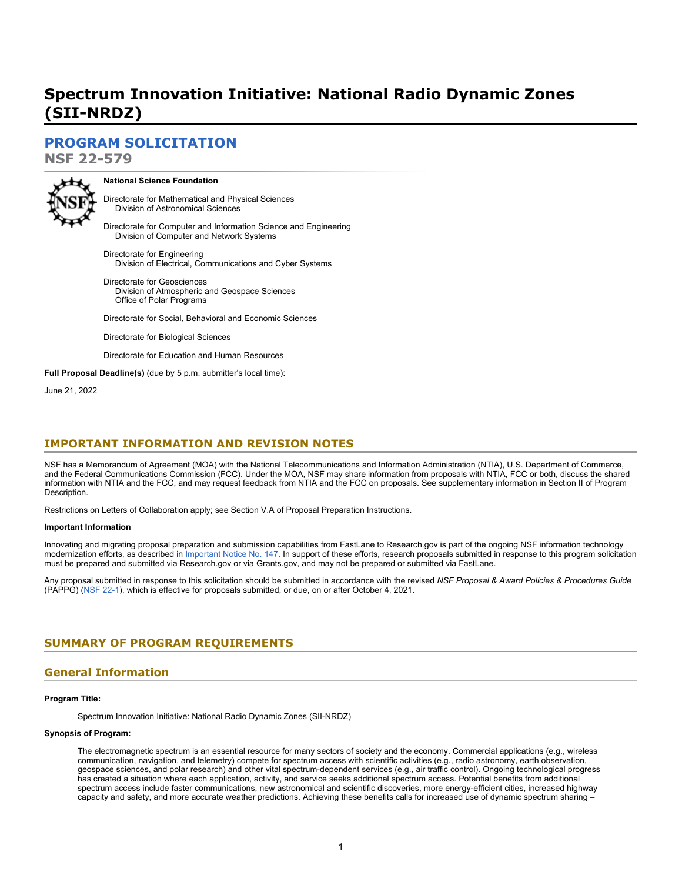# **Spectrum Innovation Initiative: National Radio Dynamic Zones (SII-NRDZ)**

# **[PROGRAM SOLICITATION](#page-2-0)**

**NSF 22-579**



#### **National Science Foundation**

Directorate for Mathematical and Physical Sciences Division of Astronomical Sciences

Directorate for Computer and Information Science and Engineering Division of Computer and Network Systems

- Directorate for Engineering Division of Electrical, Communications and Cyber Systems
- Directorate for Geosciences Division of Atmospheric and Geospace Sciences Office of Polar Programs
- Directorate for Social, Behavioral and Economic Sciences
- Directorate for Biological Sciences

Directorate for Education and Human Resources

**Full Proposal Deadline(s)** (due by 5 p.m. submitter's local time):

June 21, 2022

### **IMPORTANT INFORMATION AND REVISION NOTES**

NSF has a Memorandum of Agreement (MOA) with the National Telecommunications and Information Administration (NTIA), U.S. Department of Commerce, and the Federal Communications Commission (FCC). Under the MOA, NSF may share information from proposals with NTIA, FCC or both, discuss the shared information with NTIA and the FCC, and may request feedback from NTIA and the FCC on proposals. See supplementary information in Section II of Program Description.

Restrictions on Letters of Collaboration apply; see Section V.A of Proposal Preparation Instructions.

#### **Important Information**

Innovating and migrating proposal preparation and submission capabilities from FastLane to Research.gov is part of the ongoing NSF information technology modernization efforts, as described in [Important Notice No. 147](https://www.nsf.gov/publications/pub_summ.jsp?ods_key=in147). In support of these efforts, research proposals submitted in response to this program solicitation must be prepared and submitted via Research.gov or via Grants.gov, and may not be prepared or submitted via FastLane.

Any proposal submitted in response to this solicitation should be submitted in accordance with the revised *NSF Proposal & Award Policies & Procedures Guide* (PAPPG) [\(NSF 22-1](https://www.nsf.gov/publications/pub_summ.jsp?ods_key=nsf22001&org=NSF)), which is effective for proposals submitted, or due, on or after October 4, 2021.

### <span id="page-0-0"></span>**SUMMARY OF PROGRAM REQUIREMENTS**

#### **General Information**

#### **Program Title:**

Spectrum Innovation Initiative: National Radio Dynamic Zones (SII-NRDZ)

#### **Synopsis of Program:**

The electromagnetic spectrum is an essential resource for many sectors of society and the economy. Commercial applications (e.g., wireless communication, navigation, and telemetry) compete for spectrum access with scientific activities (e.g., radio astronomy, earth observation, geospace sciences, and polar research) and other vital spectrum-dependent services (e.g., air traffic control). Ongoing technological progress has created a situation where each application, activity, and service seeks additional spectrum access. Potential benefits from additional spectrum access include faster communications, new astronomical and scientific discoveries, more energy-efficient cities, increased highway capacity and safety, and more accurate weather predictions. Achieving these benefits calls for increased use of dynamic spectrum sharing –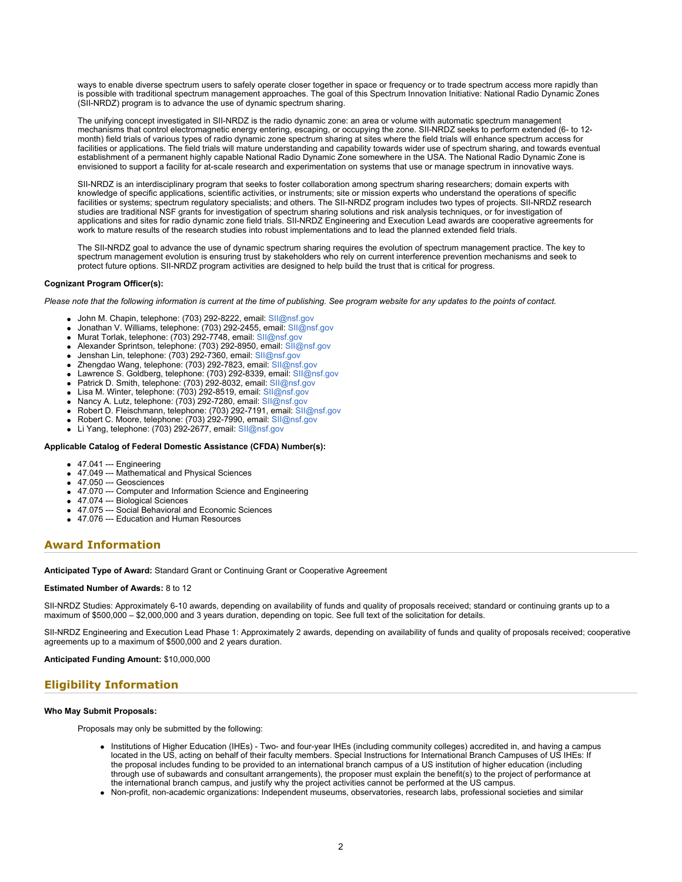ways to enable diverse spectrum users to safely operate closer together in space or frequency or to trade spectrum access more rapidly than is possible with traditional spectrum management approaches. The goal of this Spectrum Innovation Initiative: National Radio Dynamic Zones (SII-NRDZ) program is to advance the use of dynamic spectrum sharing.

The unifying concept investigated in SII-NRDZ is the radio dynamic zone: an area or volume with automatic spectrum management mechanisms that control electromagnetic energy entering, escaping, or occupying the zone. SII-NRDZ seeks to perform extended (6- to 12 month) field trials of various types of radio dynamic zone spectrum sharing at sites where the field trials will enhance spectrum access for facilities or applications. The field trials will mature understanding and capability towards wider use of spectrum sharing, and towards eventual establishment of a permanent highly capable National Radio Dynamic Zone somewhere in the USA. The National Radio Dynamic Zone is envisioned to support a facility for at-scale research and experimentation on systems that use or manage spectrum in innovative ways.

SII-NRDZ is an interdisciplinary program that seeks to foster collaboration among spectrum sharing researchers; domain experts with knowledge of specific applications, scientific activities, or instruments; site or mission experts who understand the operations of specific facilities or systems; spectrum regulatory specialists; and others. The SII-NRDZ program includes two types of projects. SII-NRDZ research studies are traditional NSF grants for investigation of spectrum sharing solutions and risk analysis techniques, or for investigation of applications and sites for radio dynamic zone field trials. SII-NRDZ Engineering and Execution Lead awards are cooperative agreements for work to mature results of the research studies into robust implementations and to lead the planned extended field trials.

The SII-NRDZ goal to advance the use of dynamic spectrum sharing requires the evolution of spectrum management practice. The key to spectrum management evolution is ensuring trust by stakeholders who rely on current interference prevention mechanisms and seek to protect future options. SII-NRDZ program activities are designed to help build the trust that is critical for progress.

#### **Cognizant Program Officer(s):**

*Please note that the following information is current at the time of publishing. See program website for any updates to the points of contact.*

- John M. Chapin, telephone: (703) 292-8222, email: [SII@nsf.gov](mailto:SII@nsf.gov)
- Jonathan V. Williams, telephone: (703) 292-2455, email: [SII@nsf.gov](mailto:SII@nsf.gov)
- Murat Torlak, telephone: (703) 292-7748, email: [SII@nsf.gov](mailto:SII@nsf.gov)
- Alexander Sprintson, telephone: (703) 292-8950, email: [SII@nsf.gov](mailto:SII@nsf.gov)
- Jenshan Lin, telephone: (703) 292-7360, email: [SII@nsf.gov](mailto:SII@nsf.gov)
- Zhengdao Wang, telephone: (703) 292-7823, email: [SII@nsf.gov](mailto:SII@nsf.gov)
- Lawrence S. Goldberg, telephone: (703) 292-8339, email: [SII@nsf.gov](mailto:SII@nsf.gov)
- Patrick D. Smith, telephone: (703) 292-8032, email: [SII@nsf.gov](mailto:SII@nsf.gov)
- Lisa M. Winter, telephone: (703) 292-8519, email: [SII@nsf.gov](mailto:SII@nsf.gov)
- Nancy A. Lutz, telephone: (703) 292-7280, email: [SII@nsf.gov](mailto:SII@nsf.gov)
- Robert D. Fleischmann, telephone: (703) 292-7191, email: [SII@nsf.gov](mailto:SII@nsf.gov)
- Robert C. Moore, telephone: (703) 292-7990, email: [SII@nsf.gov](mailto:SII@nsf.gov)
- Li Yang, telephone: (703) 292-2677, email: [SII@nsf.gov](mailto:SII@nsf.gov)

#### **Applicable Catalog of Federal Domestic Assistance (CFDA) Number(s):**

- 47.041 --- Engineering
- 47.049 --- Mathematical and Physical Sciences
- 47.050 --- Geosciences
- 47.070 --- Computer and Information Science and Engineering
- 47.074 --- Biological Sciences
- 47.075 --- Social Behavioral and Economic Sciences
- 47.076 --- Education and Human Resources

### **Award Information**

**Anticipated Type of Award:** Standard Grant or Continuing Grant or Cooperative Agreement

#### **Estimated Number of Awards:** 8 to 12

SII-NRDZ Studies: Approximately 6-10 awards, depending on availability of funds and quality of proposals received; standard or continuing grants up to a maximum of \$500,000 – \$2,000,000 and 3 years duration, depending on topic. See full text of the solicitation for details.

SII-NRDZ Engineering and Execution Lead Phase 1: Approximately 2 awards, depending on availability of funds and quality of proposals received; cooperative agreements up to a maximum of \$500,000 and 2 years duration.

#### **Anticipated Funding Amount:** \$10,000,000

### **Eligibility Information**

#### **Who May Submit Proposals:**

Proposals may only be submitted by the following:

- Institutions of Higher Education (IHEs) Two- and four-year IHEs (including community colleges) accredited in, and having a campus located in the US, acting on behalf of their faculty members. Special Instructions for International Branch Campuses of US IHEs: If the proposal includes funding to be provided to an international branch campus of a US institution of higher education (including through use of subawards and consultant arrangements), the proposer must explain the benefit(s) to the project of performance at the international branch campus, and justify why the project activities cannot be performed at the US campus.
- Non-profit, non-academic organizations: Independent museums, observatories, research labs, professional societies and similar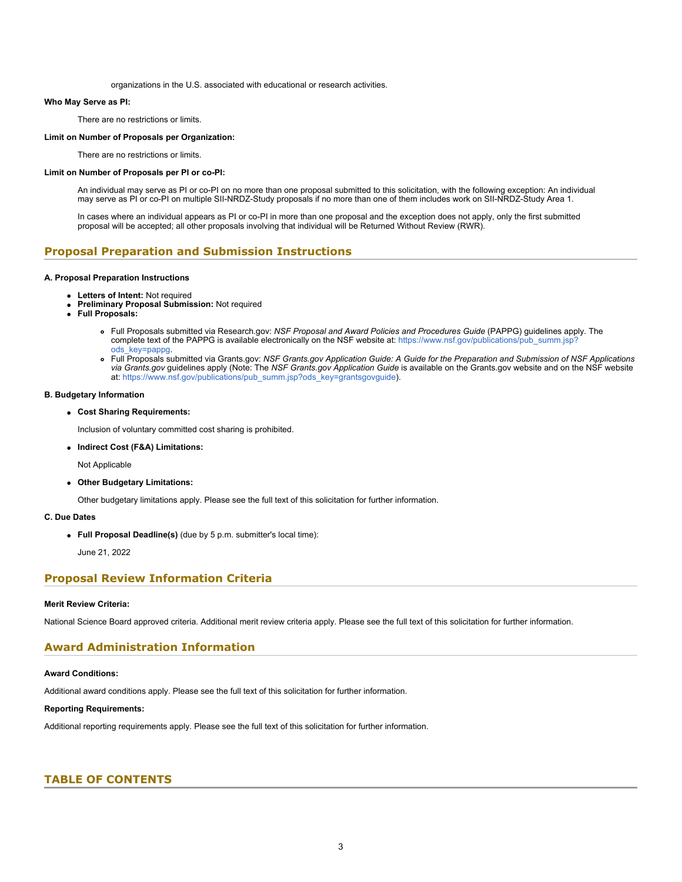organizations in the U.S. associated with educational or research activities.

#### **Who May Serve as PI:**

There are no restrictions or limits.

#### **Limit on Number of Proposals per Organization:**

There are no restrictions or limits.

#### **Limit on Number of Proposals per PI or co-PI:**

An individual may serve as PI or co-PI on no more than one proposal submitted to this solicitation, with the following exception: An individual may serve as PI or co-PI on multiple SII-NRDZ-Study proposals if no more than one of them includes work on SII-NRDZ-Study Area 1.

In cases where an individual appears as PI or co-PI in more than one proposal and the exception does not apply, only the first submitted proposal will be accepted; all other proposals involving that individual will be Returned Without Review (RWR).

### **Proposal Preparation and Submission Instructions**

#### **A. Proposal Preparation Instructions**

- **Letters of Intent:** Not required
- **Preliminary Proposal Submission:** Not required
- **Full Proposals:**
	- Full Proposals submitted via Research.gov: *NSF Proposal and Award Policies and Procedures Guide* (PAPPG) guidelines apply. The complete text of the PAPPG is available electronically on the NSF website at: [https://www.nsf.gov/publications/pub\\_summ.jsp?](https://www.nsf.gov/publications/pub_summ.jsp?ods_key=pappg) [ods\\_key=pappg.](https://www.nsf.gov/publications/pub_summ.jsp?ods_key=pappg)
	- Full Proposals submitted via Grants.gov: *NSF Grants.gov Application Guide: A Guide for the Preparation and Submission of NSF Applications via Grants.gov* guidelines apply (Note: The *NSF Grants.gov Application Guide* is available on the Grants.gov website and on the NSF website at: [https://www.nsf.gov/publications/pub\\_summ.jsp?ods\\_key=grantsgovguide](https://www.nsf.gov/publications/pub_summ.jsp?ods_key=grantsgovguide)).

#### **B. Budgetary Information**

#### **Cost Sharing Requirements:**

Inclusion of voluntary committed cost sharing is prohibited.

**Indirect Cost (F&A) Limitations:**

Not Applicable

**Other Budgetary Limitations:**

Other budgetary limitations apply. Please see the full text of this solicitation for further information.

#### **C. Due Dates**

**Full Proposal Deadline(s)** (due by 5 p.m. submitter's local time):

June 21, 2022

### **Proposal Review Information Criteria**

#### **Merit Review Criteria:**

National Science Board approved criteria. Additional merit review criteria apply. Please see the full text of this solicitation for further information.

### **Award Administration Information**

#### **Award Conditions:**

Additional award conditions apply. Please see the full text of this solicitation for further information.

#### **Reporting Requirements:**

Additional reporting requirements apply. Please see the full text of this solicitation for further information.

# <span id="page-2-0"></span>**TABLE OF CONTENTS**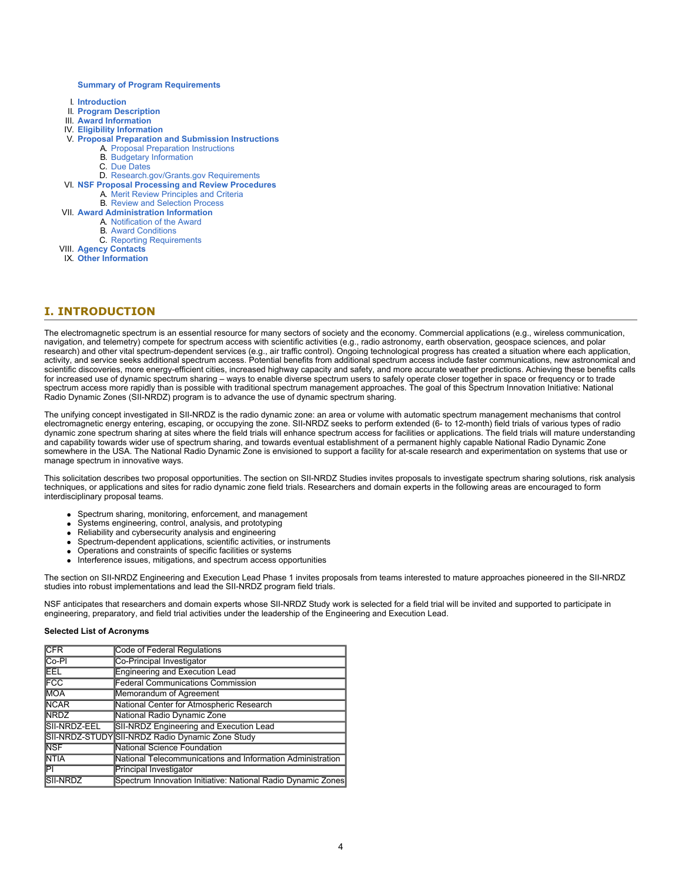#### **[Summary of Program Requirements](#page-0-0)**

- I. **[Introduction](#page-3-0)**
- II. **[Program Description](#page-4-0)**
- III. **[Award Information](#page-9-0)**
- IV. **[Eligibility Information](#page-10-0)**
- V. **[Proposal Preparation and Submission Instructions](#page-10-1)**
	- A. [Proposal Preparation Instructions](#page-10-1) B. [Budgetary Information](#page-11-0)
	-
	- C. [Due Dates](#page-11-1)
	- D. [Research.gov/Grants.gov Requirements](#page-11-2)
- VI. **[NSF Proposal Processing and Review Procedures](#page-11-3)**
	- A. [Merit Review Principles and Criteria](#page-12-0)
	- B. [Review and Selection Process](#page-13-0)
- VII. **[Award Administration Information](#page-13-1)**
	- A. [Notification of the Award](#page-13-2)
	- B. [Award Conditions](#page-13-3)
	- C. [Reporting Requirements](#page-14-0)
- VIII. **[Agency Contacts](#page-15-0)**
- IX. **[Other Information](#page-15-1)**

### <span id="page-3-0"></span>**I. INTRODUCTION**

The electromagnetic spectrum is an essential resource for many sectors of society and the economy. Commercial applications (e.g., wireless communication, navigation, and telemetry) compete for spectrum access with scientific activities (e.g., radio astronomy, earth observation, geospace sciences, and polar research) and other vital spectrum-dependent services (e.g., air traffic control). Ongoing technological progress has created a situation where each application, activity, and service seeks additional spectrum access. Potential benefits from additional spectrum access include faster communications, new astronomical and scientific discoveries, more energy-efficient cities, increased highway capacity and safety, and more accurate weather predictions. Achieving these benefits calls for increased use of dynamic spectrum sharing – ways to enable diverse spectrum users to safely operate closer together in space or frequency or to trade spectrum access more rapidly than is possible with traditional spectrum management approaches. The goal of this Spectrum Innovation Initiative: National Radio Dynamic Zones (SII-NRDZ) program is to advance the use of dynamic spectrum sharing.

The unifying concept investigated in SII-NRDZ is the radio dynamic zone: an area or volume with automatic spectrum management mechanisms that control electromagnetic energy entering, escaping, or occupying the zone. SII-NRDZ seeks to perform extended (6- to 12-month) field trials of various types of radio dynamic zone spectrum sharing at sites where the field trials will enhance spectrum access for facilities or applications. The field trials will mature understanding and capability towards wider use of spectrum sharing, and towards eventual establishment of a permanent highly capable National Radio Dynamic Zone somewhere in the USA. The National Radio Dynamic Zone is envisioned to support a facility for at-scale research and experimentation on systems that use or manage spectrum in innovative ways.

This solicitation describes two proposal opportunities. The section on SII-NRDZ Studies invites proposals to investigate spectrum sharing solutions, risk analysis techniques, or applications and sites for radio dynamic zone field trials. Researchers and domain experts in the following areas are encouraged to form interdisciplinary proposal teams.

- Spectrum sharing, monitoring, enforcement, and management
- Systems engineering, control, analysis, and prototyping
- Reliability and cybersecurity analysis and engineering
- Spectrum-dependent applications, scientific activities, or instruments
- Operations and constraints of specific facilities or systems
- Interference issues, mitigations, and spectrum access opportunities

The section on SII-NRDZ Engineering and Execution Lead Phase 1 invites proposals from teams interested to mature approaches pioneered in the SII-NRDZ studies into robust implementations and lead the SII-NRDZ program field trials.

NSF anticipates that researchers and domain experts whose SII-NRDZ Study work is selected for a field trial will be invited and supported to participate in engineering, preparatory, and field trial activities under the leadership of the Engineering and Execution Lead.

#### **Selected List of Acronyms**

| <b>CFR</b>      | Code of Federal Regulations                                  |
|-----------------|--------------------------------------------------------------|
| $Co-PI$         | Co-Principal Investigator                                    |
| <b>EEL</b>      | <b>Engineering and Execution Lead</b>                        |
| <b>FCC</b>      | <b>Federal Communications Commission</b>                     |
| <b>MOA</b>      | Memorandum of Agreement                                      |
| <b>NCAR</b>     | National Center for Atmospheric Research                     |
| <b>INRDZ</b>    | National Radio Dynamic Zone                                  |
| SII-NRDZ-EEL    | <b>SII-NRDZ Engineering and Execution Lead</b>               |
|                 | SII-NRDZ-STUDY SII-NRDZ Radio Dynamic Zone Study             |
| <b>NSF</b>      | National Science Foundation                                  |
| <b>NTIA</b>     | National Telecommunications and Information Administration   |
| IΡī             | <b>Principal Investigator</b>                                |
| <b>SII-NRDZ</b> | Spectrum Innovation Initiative: National Radio Dynamic Zones |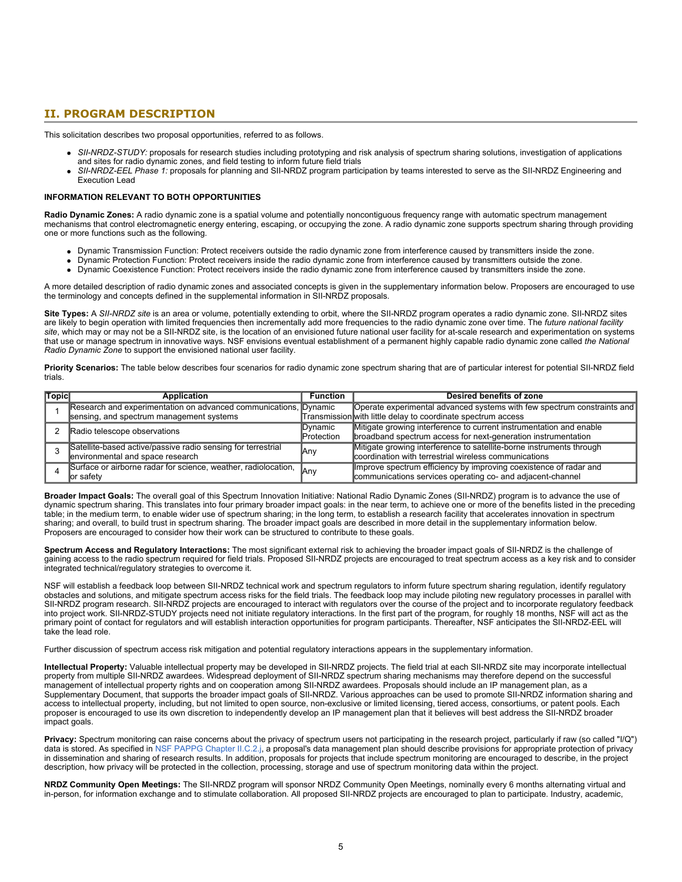## <span id="page-4-0"></span>**II. PROGRAM DESCRIPTION**

This solicitation describes two proposal opportunities, referred to as follows.

- *SII-NRDZ-STUDY:* proposals for research studies including prototyping and risk analysis of spectrum sharing solutions, investigation of applications and sites for radio dynamic zones, and field testing to inform future field trials
- *SII-NRDZ-EEL Phase 1:* proposals for planning and SII-NRDZ program participation by teams interested to serve as the SII-NRDZ Engineering and Execution Lead

#### **INFORMATION RELEVANT TO BOTH OPPORTUNITIES**

Radio Dynamic Zones: A radio dynamic zone is a spatial volume and potentially noncontiguous frequency range with automatic spectrum management mechanisms that control electromagnetic energy entering, escaping, or occupying the zone. A radio dynamic zone supports spectrum sharing through providing one or more functions such as the following.

- Dynamic Transmission Function: Protect receivers outside the radio dynamic zone from interference caused by transmitters inside the zone.
- Dynamic Protection Function: Protect receivers inside the radio dynamic zone from interference caused by transmitters outside the zone.
- Dynamic Coexistence Function: Protect receivers inside the radio dynamic zone from interference caused by transmitters inside the zone.

A more detailed description of radio dynamic zones and associated concepts is given in the supplementary information below. Proposers are encouraged to use the terminology and concepts defined in the supplemental information in SII-NRDZ proposals.

**Site Types:** A *SII-NRDZ site* is an area or volume, potentially extending to orbit, where the SII-NRDZ program operates a radio dynamic zone. SII-NRDZ sites are likely to begin operation with limited frequencies then incrementally add more frequencies to the radio dynamic zone over time. The *future national facility site*, which may or may not be a SII-NRDZ site, is the location of an envisioned future national user facility for at-scale research and experimentation on systems that use or manage spectrum in innovative ways. NSF envisions eventual establishment of a permanent highly capable radio dynamic zone called *the National Radio Dynamic Zone* to support the envisioned national user facility.

**Priority Scenarios:** The table below describes four scenarios for radio dynamic zone spectrum sharing that are of particular interest for potential SII-NRDZ field trials.

| <b>Topic</b> | Application                                                                                                  | <b>Function</b>                       | Desired benefits of zone                                                                                                                |  |  |  |  |  |
|--------------|--------------------------------------------------------------------------------------------------------------|---------------------------------------|-----------------------------------------------------------------------------------------------------------------------------------------|--|--|--|--|--|
|              | Research and experimentation on advanced communications, Dynamic<br>sensing, and spectrum management systems |                                       | Operate experimental advanced systems with few spectrum constraints and<br>Transmission with little delay to coordinate spectrum access |  |  |  |  |  |
|              | Radio telescope observations                                                                                 | <b>IDvnamic</b><br><b>IProtection</b> | Mitigate growing interference to current instrumentation and enable<br>broadband spectrum access for next-generation instrumentation    |  |  |  |  |  |
|              | Satellite-based active/passive radio sensing for terrestrial<br>lenvironmental and space research            | <b>JAny</b>                           | Mitigate growing interference to satellite-borne instruments through<br>coordination with terrestrial wireless communications           |  |  |  |  |  |
|              | Surface or airborne radar for science, weather, radiolocation, Any<br>or safety                              |                                       | Improve spectrum efficiency by improving coexistence of radar and<br>communications services operating co- and adjacent-channel         |  |  |  |  |  |

**Broader Impact Goals:** The overall goal of this Spectrum Innovation Initiative: National Radio Dynamic Zones (SII-NRDZ) program is to advance the use of dynamic spectrum sharing. This translates into four primary broader impact goals: in the near term, to achieve one or more of the benefits listed in the preceding table; in the medium term, to enable wider use of spectrum sharing; in the long term, to establish a research facility that accelerates innovation in spectrum sharing; and overall, to build trust in spectrum sharing. The broader impact goals are described in more detail in the supplementary information below. Proposers are encouraged to consider how their work can be structured to contribute to these goals.

**Spectrum Access and Regulatory Interactions:** The most significant external risk to achieving the broader impact goals of SII-NRDZ is the challenge of gaining access to the radio spectrum required for field trials. Proposed SII-NRDZ projects are encouraged to treat spectrum access as a key risk and to consider integrated technical/regulatory strategies to overcome it.

NSF will establish a feedback loop between SII-NRDZ technical work and spectrum regulators to inform future spectrum sharing regulation, identify regulatory obstacles and solutions, and mitigate spectrum access risks for the field trials. The feedback loop may include piloting new regulatory processes in parallel with SII-NRDZ program research. SII-NRDZ projects are encouraged to interact with regulators over the course of the project and to incorporate regulatory feedback into project work. SII-NRDZ-STUDY projects need not initiate regulatory interactions. In the first part of the program, for roughly 18 months, NSF will act as the primary point of contact for regulators and will establish interaction opportunities for program participants. Thereafter, NSF anticipates the SII-NRDZ-EEL will take the lead role.

Further discussion of spectrum access risk mitigation and potential regulatory interactions appears in the supplementary information.

**Intellectual Property:** Valuable intellectual property may be developed in SII-NRDZ projects. The field trial at each SII-NRDZ site may incorporate intellectual property from multiple SII-NRDZ awardees. Widespread deployment of SII-NRDZ spectrum sharing mechanisms may therefore depend on the successful management of intellectual property rights and on cooperation among SII-NRDZ awardees. Proposals should include an IP management plan, as a Supplementary Document, that supports the broader impact goals of SII-NRDZ. Various approaches can be used to promote SII-NRDZ information sharing and access to intellectual property, including, but not limited to open source, non-exclusive or limited licensing, tiered access, consortiums, or patent pools. Each proposer is encouraged to use its own discretion to independently develop an IP management plan that it believes will best address the SII-NRDZ broader impact goals.

Privacy: Spectrum monitoring can raise concerns about the privacy of spectrum users not participating in the research project, particularly if raw (so called "I/Q") data is stored. As specified in [NSF PAPPG Chapter II.C.2.j](https://www.nsf.gov/pubs/policydocs/pappg22_1/pappg_2.jsp#IIC2j), a proposal's data management plan should describe provisions for appropriate protection of privacy in dissemination and sharing of research results. In addition, proposals for projects that include spectrum monitoring are encouraged to describe, in the project description, how privacy will be protected in the collection, processing, storage and use of spectrum monitoring data within the project.

**NRDZ Community Open Meetings:** The SII-NRDZ program will sponsor NRDZ Community Open Meetings, nominally every 6 months alternating virtual and in-person, for information exchange and to stimulate collaboration. All proposed SII-NRDZ projects are encouraged to plan to participate. Industry, academic,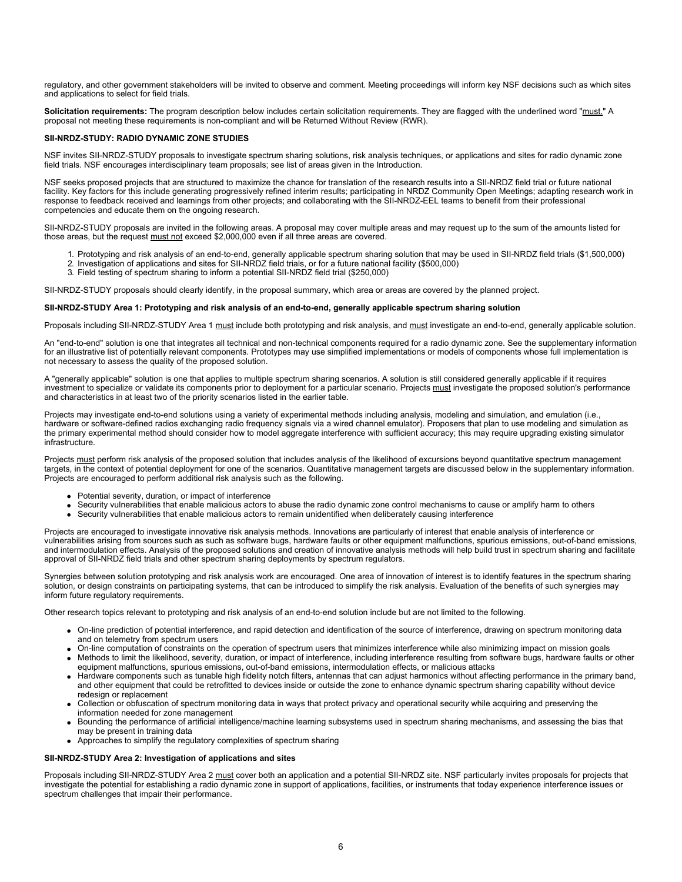regulatory, and other government stakeholders will be invited to observe and comment. Meeting proceedings will inform key NSF decisions such as which sites and applications to select for field trials.

**Solicitation requirements:** The program description below includes certain solicitation requirements. They are flagged with the underlined word "must." A proposal not meeting these requirements is non-compliant and will be Returned Without Review (RWR).

#### **SII-NRDZ-STUDY: RADIO DYNAMIC ZONE STUDIES**

NSF invites SII-NRDZ-STUDY proposals to investigate spectrum sharing solutions, risk analysis techniques, or applications and sites for radio dynamic zone field trials. NSF encourages interdisciplinary team proposals; see list of areas given in the Introduction.

NSF seeks proposed projects that are structured to maximize the chance for translation of the research results into a SII-NRDZ field trial or future national facility. Key factors for this include generating progressively refined interim results; participating in NRDZ Community Open Meetings; adapting research work in response to feedback received and learnings from other projects; and collaborating with the SII-NRDZ-EEL teams to benefit from their professional competencies and educate them on the ongoing research.

SII-NRDZ-STUDY proposals are invited in the following areas. A proposal may cover multiple areas and may request up to the sum of the amounts listed for those areas, but the request must not exceed \$2,000,000 even if all three areas are covered.

- 1. Prototyping and risk analysis of an end-to-end, generally applicable spectrum sharing solution that may be used in SII-NRDZ field trials (\$1,500,000)
- 2. Investigation of applications and sites for SII-NRDZ field trials, or for a future national facility (\$500,000) 3. Field testing of spectrum sharing to inform a potential SII-NRDZ field trial (\$250,000)

SII-NRDZ-STUDY proposals should clearly identify, in the proposal summary, which area or areas are covered by the planned project.

#### **SII-NRDZ-STUDY Area 1: Prototyping and risk analysis of an end-to-end, generally applicable spectrum sharing solution**

Proposals including SII-NRDZ-STUDY Area 1 must include both prototyping and risk analysis, and must investigate an end-to-end, generally applicable solution.

An "end-to-end" solution is one that integrates all technical and non-technical components required for a radio dynamic zone. See the supplementary information for an illustrative list of potentially relevant components. Prototypes may use simplified implementations or models of components whose full implementation is not necessary to assess the quality of the proposed solution.

A "generally applicable" solution is one that applies to multiple spectrum sharing scenarios. A solution is still considered generally applicable if it requires investment to specialize or validate its components prior to deployment for a particular scenario. Projects must investigate the proposed solution's performance and characteristics in at least two of the priority scenarios listed in the earlier table.

Projects may investigate end-to-end solutions using a variety of experimental methods including analysis, modeling and simulation, and emulation (i.e., hardware or software-defined radios exchanging radio frequency signals via a wired channel emulator). Proposers that plan to use modeling and simulation as the primary experimental method should consider how to model aggregate interference with sufficient accuracy; this may require upgrading existing simulator infrastructure.

Projects must perform risk analysis of the proposed solution that includes analysis of the likelihood of excursions beyond quantitative spectrum management targets, in the context of potential deployment for one of the scenarios. Quantitative management targets are discussed below in the supplementary information. Projects are encouraged to perform additional risk analysis such as the following.

- Potential severity, duration, or impact of interference
- Security vulnerabilities that enable malicious actors to abuse the radio dynamic zone control mechanisms to cause or amplify harm to others
- Security vulnerabilities that enable malicious actors to remain unidentified when deliberately causing interference

Projects are encouraged to investigate innovative risk analysis methods. Innovations are particularly of interest that enable analysis of interference or vulnerabilities arising from sources such as such as software bugs, hardware faults or other equipment malfunctions, spurious emissions, out-of-band emissions, and intermodulation effects. Analysis of the proposed solutions and creation of innovative analysis methods will help build trust in spectrum sharing and facilitate approval of SII-NRDZ field trials and other spectrum sharing deployments by spectrum regulators.

Synergies between solution prototyping and risk analysis work are encouraged. One area of innovation of interest is to identify features in the spectrum sharing solution, or design constraints on participating systems, that can be introduced to simplify the risk analysis. Evaluation of the benefits of such synergies may inform future regulatory requirements.

Other research topics relevant to prototyping and risk analysis of an end-to-end solution include but are not limited to the following.

- On-line prediction of potential interference, and rapid detection and identification of the source of interference, drawing on spectrum monitoring data and on telemetry from spectrum users
- On-line computation of constraints on the operation of spectrum users that minimizes interference while also minimizing impact on mission goals
- Methods to limit the likelihood, severity, duration, or impact of interference, including interference resulting from software bugs, hardware faults or other equipment malfunctions, spurious emissions, out-of-band emissions, intermodulation effects, or malicious attacks
- Hardware components such as tunable high fidelity notch filters, antennas that can adjust harmonics without affecting performance in the primary band, and other equipment that could be retrofitted to devices inside or outside the zone to enhance dynamic spectrum sharing capability without device redesign or replacement
- Collection or obfuscation of spectrum monitoring data in ways that protect privacy and operational security while acquiring and preserving the information needed for zone management
- Bounding the performance of artificial intelligence/machine learning subsystems used in spectrum sharing mechanisms, and assessing the bias that may be present in training data
- Approaches to simplify the regulatory complexities of spectrum sharing

#### **SII-NRDZ-STUDY Area 2: Investigation of applications and sites**

Proposals including SII-NRDZ-STUDY Area 2 must cover both an application and a potential SII-NRDZ site. NSF particularly invites proposals for projects that investigate the potential for establishing a radio dynamic zone in support of applications, facilities, or instruments that today experience interference issues or spectrum challenges that impair their performance.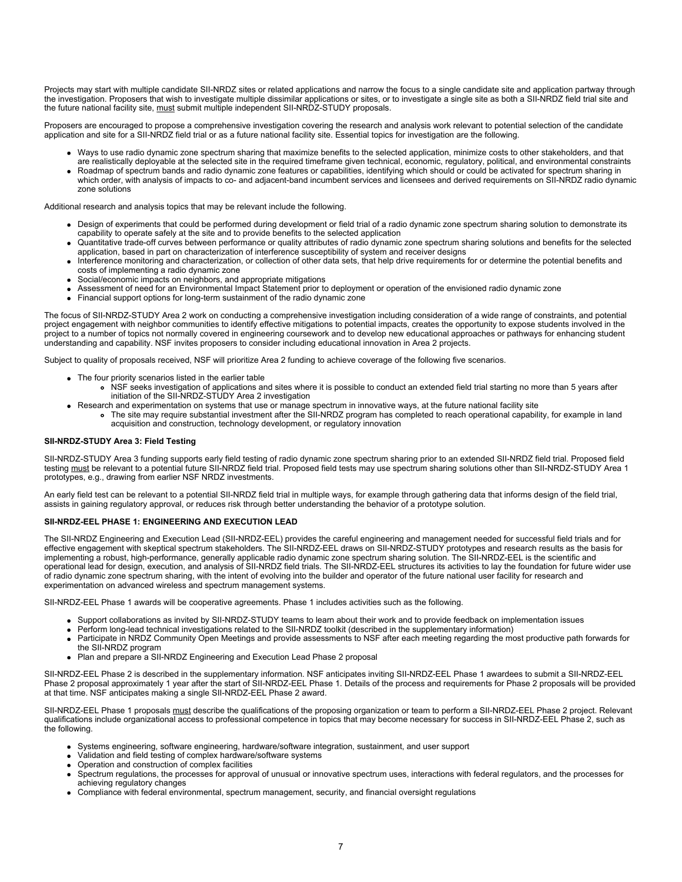Projects may start with multiple candidate SII-NRDZ sites or related applications and narrow the focus to a single candidate site and application partway through the investigation. Proposers that wish to investigate multiple dissimilar applications or sites, or to investigate a single site as both a SII-NRDZ field trial site and the future national facility site, must submit multiple independent SII-NRDZ-STUDY proposals.

Proposers are encouraged to propose a comprehensive investigation covering the research and analysis work relevant to potential selection of the candidate application and site for a SII-NRDZ field trial or as a future national facility site. Essential topics for investigation are the following.

- Ways to use radio dynamic zone spectrum sharing that maximize benefits to the selected application, minimize costs to other stakeholders, and that are realistically deployable at the selected site in the required timeframe given technical, economic, regulatory, political, and environmental constraints
- Roadmap of spectrum bands and radio dynamic zone features or capabilities, identifying which should or could be activated for spectrum sharing in which order, with analysis of impacts to co- and adjacent-band incumbent services and licensees and derived requirements on SII-NRDZ radio dynamic zone solutions

Additional research and analysis topics that may be relevant include the following.

- Design of experiments that could be performed during development or field trial of a radio dynamic zone spectrum sharing solution to demonstrate its capability to operate safely at the site and to provide benefits to the selected application
- Quantitative trade-off curves between performance or quality attributes of radio dynamic zone spectrum sharing solutions and benefits for the selected application, based in part on characterization of interference susceptibility of system and receiver designs
- Interference monitoring and characterization, or collection of other data sets, that help drive requirements for or determine the potential benefits and costs of implementing a radio dynamic zone
- Social/economic impacts on neighbors, and appropriate mitigations
- Assessment of need for an Environmental Impact Statement prior to deployment or operation of the envisioned radio dynamic zone
- Financial support options for long-term sustainment of the radio dynamic zone

The focus of SII-NRDZ-STUDY Area 2 work on conducting a comprehensive investigation including consideration of a wide range of constraints, and potential project engagement with neighbor communities to identify effective mitigations to potential impacts, creates the opportunity to expose students involved in the project to a number of topics not normally covered in engineering coursework and to develop new educational approaches or pathways for enhancing student understanding and capability. NSF invites proposers to consider including educational innovation in Area 2 projects.

Subject to quality of proposals received, NSF will prioritize Area 2 funding to achieve coverage of the following five scenarios.

- The four priority scenarios listed in the earlier table
	- NSF seeks investigation of applications and sites where it is possible to conduct an extended field trial starting no more than 5 years after initiation of the SII-NRDZ-STUDY Area 2 investigation
- Research and experimentation on systems that use or manage spectrum in innovative ways, at the future national facility site The site may require substantial investment after the SII-NRDZ program has completed to reach operational capability, for example in land
	- acquisition and construction, technology development, or regulatory innovation

#### **SII-NRDZ-STUDY Area 3: Field Testing**

SII-NRDZ-STUDY Area 3 funding supports early field testing of radio dynamic zone spectrum sharing prior to an extended SII-NRDZ field trial. Proposed field testing must be relevant to a potential future SII-NRDZ field trial. Proposed field tests may use spectrum sharing solutions other than SII-NRDZ-STUDY Area 1 prototypes, e.g., drawing from earlier NSF NRDZ investments.

An early field test can be relevant to a potential SII-NRDZ field trial in multiple ways, for example through gathering data that informs design of the field trial, assists in gaining regulatory approval, or reduces risk through better understanding the behavior of a prototype solution.

#### **SII-NRDZ-EEL PHASE 1: ENGINEERING AND EXECUTION LEAD**

The SII-NRDZ Engineering and Execution Lead (SII-NRDZ-EEL) provides the careful engineering and management needed for successful field trials and for effective engagement with skeptical spectrum stakeholders. The SII-NRDZ-EEL draws on SII-NRDZ-STUDY prototypes and research results as the basis for implementing a robust, high-performance, generally applicable radio dynamic zone spectrum sharing solution. The SII-NRDZ-EEL is the scientific and operational lead for design, execution, and analysis of SII-NRDZ field trials. The SII-NRDZ-EEL structures its activities to lay the foundation for future wider use of radio dynamic zone spectrum sharing, with the intent of evolving into the builder and operator of the future national user facility for research and experimentation on advanced wireless and spectrum management systems.

SII-NRDZ-EEL Phase 1 awards will be cooperative agreements. Phase 1 includes activities such as the following.

- Support collaborations as invited by SII-NRDZ-STUDY teams to learn about their work and to provide feedback on implementation issues
- Perform long-lead technical investigations related to the SII-NRDZ toolkit (described in the supplementary information)
- Participate in NRDZ Community Open Meetings and provide assessments to NSF after each meeting regarding the most productive path forwards for the SII-NRDZ program
- Plan and prepare a SII-NRDZ Engineering and Execution Lead Phase 2 proposal

SII-NRDZ-EEL Phase 2 is described in the supplementary information. NSF anticipates inviting SII-NRDZ-EEL Phase 1 awardees to submit a SII-NRDZ-EEL Phase 2 proposal approximately 1 year after the start of SII-NRDZ-EEL Phase 1. Details of the process and requirements for Phase 2 proposals will be provided at that time. NSF anticipates making a single SII-NRDZ-EEL Phase 2 award.

SII-NRDZ-EEL Phase 1 proposals must describe the qualifications of the proposing organization or team to perform a SII-NRDZ-EEL Phase 2 project. Relevant qualifications include organizational access to professional competence in topics that may become necessary for success in SII-NRDZ-EEL Phase 2, such as the following.

- Systems engineering, software engineering, hardware/software integration, sustainment, and user support
- Validation and field testing of complex hardware/software systems
- Operation and construction of complex facilities
- Spectrum regulations, the processes for approval of unusual or innovative spectrum uses, interactions with federal regulators, and the processes for achieving regulatory changes
- Compliance with federal environmental, spectrum management, security, and financial oversight regulations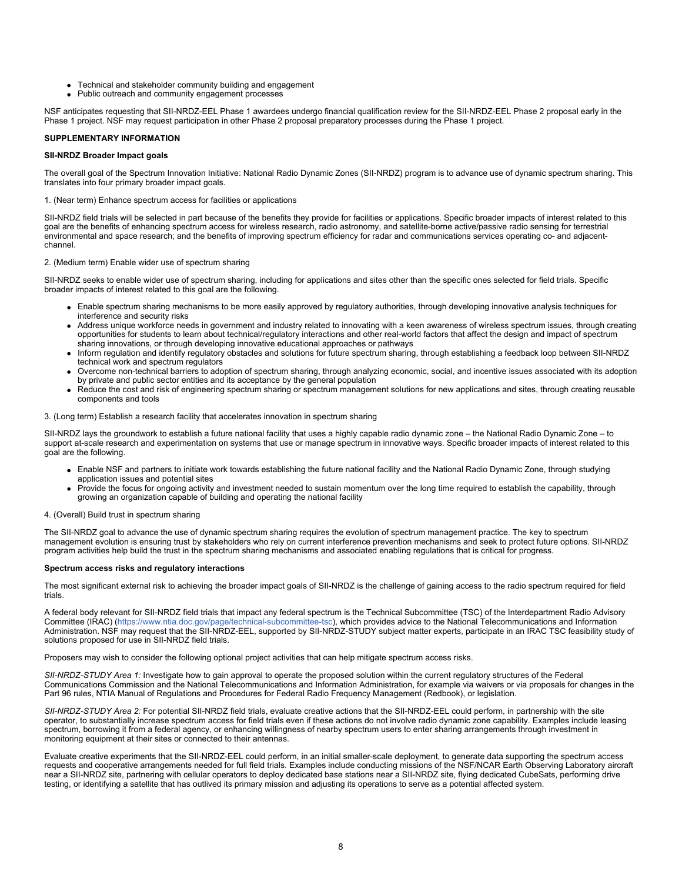- Technical and stakeholder community building and engagement
- Public outreach and community engagement processes

NSF anticipates requesting that SII-NRDZ-EEL Phase 1 awardees undergo financial qualification review for the SII-NRDZ-EEL Phase 2 proposal early in the Phase 1 project. NSF may request participation in other Phase 2 proposal preparatory processes during the Phase 1 project.

#### **SUPPLEMENTARY INFORMATION**

#### **SII-NRDZ Broader Impact goals**

The overall goal of the Spectrum Innovation Initiative: National Radio Dynamic Zones (SII-NRDZ) program is to advance use of dynamic spectrum sharing. This translates into four primary broader impact goals.

1. (Near term) Enhance spectrum access for facilities or applications

SII-NRDZ field trials will be selected in part because of the benefits they provide for facilities or applications. Specific broader impacts of interest related to this goal are the benefits of enhancing spectrum access for wireless research, radio astronomy, and satellite-borne active/passive radio sensing for terrestrial environmental and space research; and the benefits of improving spectrum efficiency for radar and communications services operating co- and adjacentchannel.

#### 2. (Medium term) Enable wider use of spectrum sharing

SII-NRDZ seeks to enable wider use of spectrum sharing, including for applications and sites other than the specific ones selected for field trials. Specific broader impacts of interest related to this goal are the following.

- Enable spectrum sharing mechanisms to be more easily approved by regulatory authorities, through developing innovative analysis techniques for interference and security risks
- Address unique workforce needs in government and industry related to innovating with a keen awareness of wireless spectrum issues, through creating opportunities for students to learn about technical/regulatory interactions and other real-world factors that affect the design and impact of spectrum sharing innovations, or through developing innovative educational approaches or pathways
- Inform regulation and identify regulatory obstacles and solutions for future spectrum sharing, through establishing a feedback loop between SII-NRDZ technical work and spectrum regulators
- Overcome non-technical barriers to adoption of spectrum sharing, through analyzing economic, social, and incentive issues associated with its adoption by private and public sector entities and its acceptance by the general population
- Reduce the cost and risk of engineering spectrum sharing or spectrum management solutions for new applications and sites, through creating reusable components and tools

3. (Long term) Establish a research facility that accelerates innovation in spectrum sharing

SII-NRDZ lays the groundwork to establish a future national facility that uses a highly capable radio dynamic zone – the National Radio Dynamic Zone – to support at-scale research and experimentation on systems that use or manage spectrum in innovative ways. Specific broader impacts of interest related to this goal are the following.

- Enable NSF and partners to initiate work towards establishing the future national facility and the National Radio Dynamic Zone, through studying application issues and potential sites
- Provide the focus for ongoing activity and investment needed to sustain momentum over the long time required to establish the capability, through growing an organization capable of building and operating the national facility

#### 4. (Overall) Build trust in spectrum sharing

The SII-NRDZ goal to advance the use of dynamic spectrum sharing requires the evolution of spectrum management practice. The key to spectrum management evolution is ensuring trust by stakeholders who rely on current interference prevention mechanisms and seek to protect future options. SII-NRDZ program activities help build the trust in the spectrum sharing mechanisms and associated enabling regulations that is critical for progress.

#### **Spectrum access risks and regulatory interactions**

The most significant external risk to achieving the broader impact goals of SII-NRDZ is the challenge of gaining access to the radio spectrum required for field trials.

A federal body relevant for SII-NRDZ field trials that impact any federal spectrum is the Technical Subcommittee (TSC) of the Interdepartment Radio Advisory Committee (IRAC) [\(https://www.ntia.doc.gov/page/technical-subcommittee-tsc](https://www.ntia.doc.gov/page/technical-subcommittee-tsc)), which provides advice to the National Telecommunications and Information Administration. NSF may request that the SII-NRDZ-EEL, supported by SII-NRDZ-STUDY subject matter experts, participate in an IRAC TSC feasibility study of solutions proposed for use in SII-NRDZ field trials.

Proposers may wish to consider the following optional project activities that can help mitigate spectrum access risks.

*SII-NRDZ-STUDY Area 1:* Investigate how to gain approval to operate the proposed solution within the current regulatory structures of the Federal Communications Commission and the National Telecommunications and Information Administration, for example via waivers or via proposals for changes in the Part 96 rules, NTIA Manual of Regulations and Procedures for Federal Radio Frequency Management (Redbook), or legislation.

*SII-NRDZ-STUDY Area 2:* For potential SII-NRDZ field trials, evaluate creative actions that the SII-NRDZ-EEL could perform, in partnership with the site operator, to substantially increase spectrum access for field trials even if these actions do not involve radio dynamic zone capability. Examples include leasing spectrum, borrowing it from a federal agency, or enhancing willingness of nearby spectrum users to enter sharing arrangements through investment in monitoring equipment at their sites or connected to their antennas.

Evaluate creative experiments that the SII-NRDZ-EEL could perform, in an initial smaller-scale deployment, to generate data supporting the spectrum access requests and cooperative arrangements needed for full field trials. Examples include conducting missions of the NSF/NCAR Earth Observing Laboratory aircraft near a SII-NRDZ site, partnering with cellular operators to deploy dedicated base stations near a SII-NRDZ site, flying dedicated CubeSats, performing drive testing, or identifying a satellite that has outlived its primary mission and adjusting its operations to serve as a potential affected system.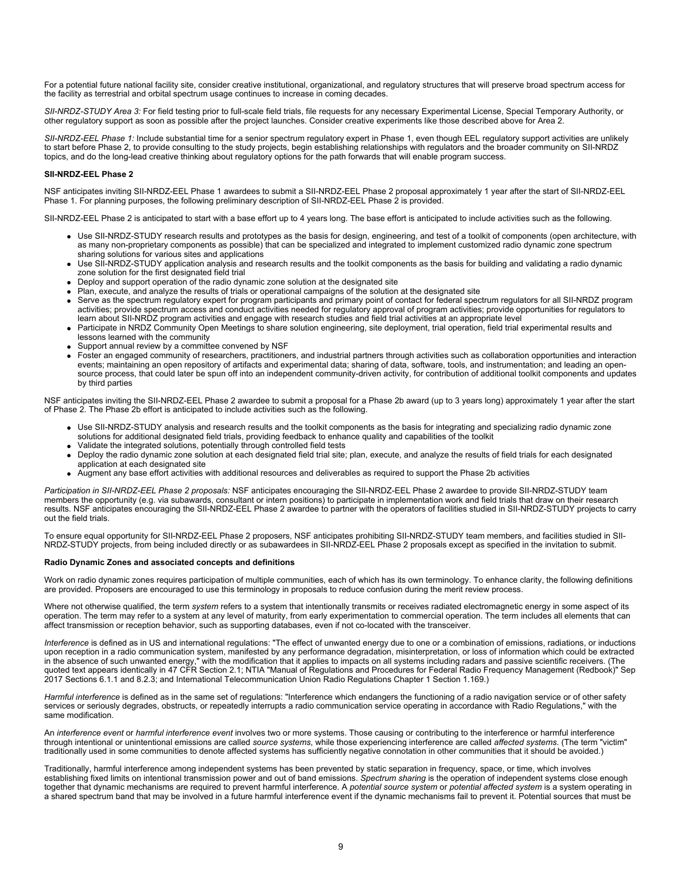For a potential future national facility site, consider creative institutional, organizational, and regulatory structures that will preserve broad spectrum access for the facility as terrestrial and orbital spectrum usage continues to increase in coming decades.

*SII-NRDZ-STUDY Area 3:* For field testing prior to full-scale field trials, file requests for any necessary Experimental License, Special Temporary Authority, or other regulatory support as soon as possible after the project launches. Consider creative experiments like those described above for Area 2.

*SII-NRDZ-EEL Phase 1:* Include substantial time for a senior spectrum regulatory expert in Phase 1, even though EEL regulatory support activities are unlikely to start before Phase 2, to provide consulting to the study projects, begin establishing relationships with regulators and the broader community on SII-NRDZ topics, and do the long-lead creative thinking about regulatory options for the path forwards that will enable program success.

#### **SII-NRDZ-EEL Phase 2**

NSF anticipates inviting SII-NRDZ-EEL Phase 1 awardees to submit a SII-NRDZ-EEL Phase 2 proposal approximately 1 year after the start of SII-NRDZ-EEL Phase 1. For planning purposes, the following preliminary description of SII-NRDZ-EEL Phase 2 is provided.

SII-NRDZ-EEL Phase 2 is anticipated to start with a base effort up to 4 years long. The base effort is anticipated to include activities such as the following.

- Use SII-NRDZ-STUDY research results and prototypes as the basis for design, engineering, and test of a toolkit of components (open architecture, with as many non-proprietary components as possible) that can be specialized and integrated to implement customized radio dynamic zone spectrum sharing solutions for various sites and applications
- Use SII-NRDZ-STUDY application analysis and research results and the toolkit components as the basis for building and validating a radio dynamic zone solution for the first designated field trial
- Deploy and support operation of the radio dynamic zone solution at the designated site
- Plan, execute, and analyze the results of trials or operational campaigns of the solution at the designated site
- Serve as the spectrum regulatory expert for program participants and primary point of contact for federal spectrum regulators for all SII-NRDZ program activities; provide spectrum access and conduct activities needed for regulatory approval of program activities; provide opportunities for regulators to learn about SII-NRDZ program activities and engage with research studies and field trial activities at an appropriate level
- Participate in NRDZ Community Open Meetings to share solution engineering, site deployment, trial operation, field trial experimental results and lessons learned with the community
- Support annual review by a committee convened by NSF
- Foster an engaged community of researchers, practitioners, and industrial partners through activities such as collaboration opportunities and interaction events; maintaining an open repository of artifacts and experimental data; sharing of data, software, tools, and instrumentation; and leading an opensource process, that could later be spun off into an independent community-driven activity, for contribution of additional toolkit components and updates by third parties

NSF anticipates inviting the SII-NRDZ-EEL Phase 2 awardee to submit a proposal for a Phase 2b award (up to 3 years long) approximately 1 year after the start of Phase 2. The Phase 2b effort is anticipated to include activities such as the following.

- Use SII-NRDZ-STUDY analysis and research results and the toolkit components as the basis for integrating and specializing radio dynamic zone solutions for additional designated field trials, providing feedback to enhance quality and capabilities of the toolkit
- Validate the integrated solutions, potentially through controlled field tests
- Deploy the radio dynamic zone solution at each designated field trial site; plan, execute, and analyze the results of field trials for each designated application at each designated site
- Augment any base effort activities with additional resources and deliverables as required to support the Phase 2b activities

*Participation in SII-NRDZ-EEL Phase 2 proposals:* NSF anticipates encouraging the SII-NRDZ-EEL Phase 2 awardee to provide SII-NRDZ-STUDY team members the opportunity (e.g. via subawards, consultant or intern positions) to participate in implementation work and field trials that draw on their research results. NSF anticipates encouraging the SII-NRDZ-EEL Phase 2 awardee to partner with the operators of facilities studied in SII-NRDZ-STUDY projects to carry out the field trials.

To ensure equal opportunity for SII-NRDZ-EEL Phase 2 proposers, NSF anticipates prohibiting SII-NRDZ-STUDY team members, and facilities studied in SII-NRDZ-STUDY projects, from being included directly or as subawardees in SII-NRDZ-EEL Phase 2 proposals except as specified in the invitation to submit.

#### **Radio Dynamic Zones and associated concepts and definitions**

Work on radio dynamic zones requires participation of multiple communities, each of which has its own terminology. To enhance clarity, the following definitions are provided. Proposers are encouraged to use this terminology in proposals to reduce confusion during the merit review process.

Where not otherwise qualified, the term *system* refers to a system that intentionally transmits or receives radiated electromagnetic energy in some aspect of its operation. The term may refer to a system at any level of maturity, from early experimentation to commercial operation. The term includes all elements that can affect transmission or reception behavior, such as supporting databases, even if not co-located with the transceiver.

*Interference* is defined as in US and international regulations: "The effect of unwanted energy due to one or a combination of emissions, radiations, or inductions upon reception in a radio communication system, manifested by any performance degradation, misinterpretation, or loss of information which could be extracted in the absence of such unwanted energy," with the modification that it applies to impacts on all systems including radars and passive scientific receivers. (The quoted text appears identically in 47 CFR Section 2.1; NTIA "Manual of Regulations and Procedures for Federal Radio Frequency Management (Redbook)" Sep 2017 Sections 6.1.1 and 8.2.3; and International Telecommunication Union Radio Regulations Chapter 1 Section 1.169.)

*Harmful interference* is defined as in the same set of regulations: "Interference which endangers the functioning of a radio navigation service or of other safety services or seriously degrades, obstructs, or repeatedly interrupts a radio communication service operating in accordance with Radio Regulations," with the same modification.

An *interference event* or *harmful interference event* involves two or more systems. Those causing or contributing to the interference or harmful interference through intentional or unintentional emissions are called *source systems*, while those experiencing interference are called *affected systems*. (The term "victim" traditionally used in some communities to denote affected systems has sufficiently negative connotation in other communities that it should be avoided.)

Traditionally, harmful interference among independent systems has been prevented by static separation in frequency, space, or time, which involves establishing fixed limits on intentional transmission power and out of band emissions. *Spectrum sharing* is the operation of independent systems close enough together that dynamic mechanisms are required to prevent harmful interference. A *potential source system* or *potential affected system* is a system operating in a shared spectrum band that may be involved in a future harmful interference event if the dynamic mechanisms fail to prevent it. Potential sources that must be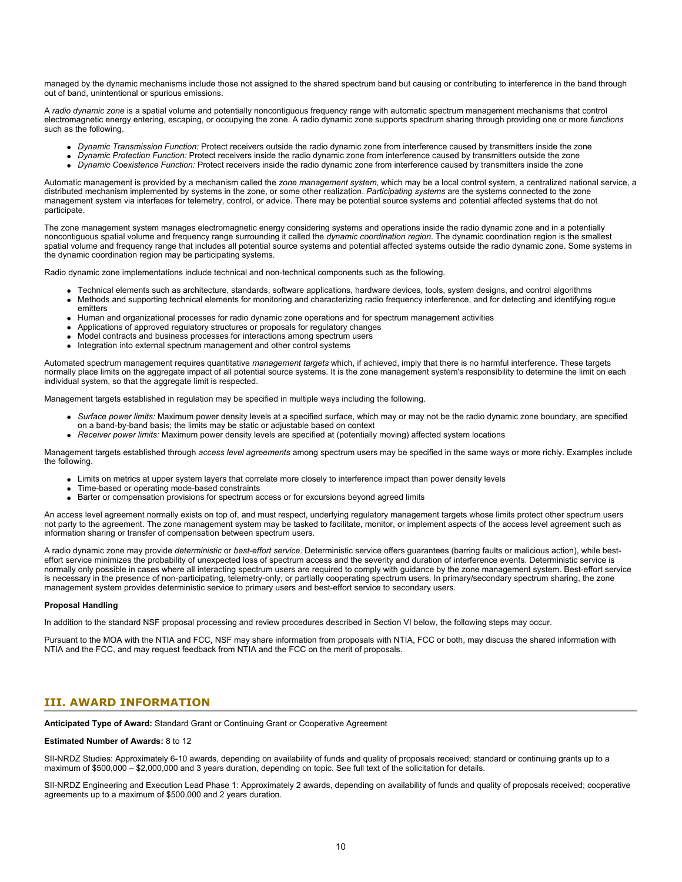managed by the dynamic mechanisms include those not assigned to the shared spectrum band but causing or contributing to interference in the band through out of band, unintentional or spurious emissions.

A *radio dynamic zone* is a spatial volume and potentially noncontiguous frequency range with automatic spectrum management mechanisms that control electromagnetic energy entering, escaping, or occupying the zone. A radio dynamic zone supports spectrum sharing through providing one or more *functions* such as the following.

- *Dynamic Transmission Function:* Protect receivers outside the radio dynamic zone from interference caused by transmitters inside the zone
- *Dynamic Protection Function:* Protect receivers inside the radio dynamic zone from interference caused by transmitters outside the zone
- *Dynamic Coexistence Function:* Protect receivers inside the radio dynamic zone from interference caused by transmitters inside the zone

Automatic management is provided by a mechanism called the *zone management system*, which may be a local control system, a centralized national service, a distributed mechanism implemented by systems in the zone, or some other realization. *Participating systems* are the systems connected to the zone management system via interfaces for telemetry, control, or advice. There may be potential source systems and potential affected systems that do not participate.

The zone management system manages electromagnetic energy considering systems and operations inside the radio dynamic zone and in a potentially noncontiguous spatial volume and frequency range surrounding it called the *dynamic coordination region*. The dynamic coordination region is the smallest spatial volume and frequency range that includes all potential source systems and potential affected systems outside the radio dynamic zone. Some systems in the dynamic coordination region may be participating systems.

Radio dynamic zone implementations include technical and non-technical components such as the following.

- Technical elements such as architecture, standards, software applications, hardware devices, tools, system designs, and control algorithms Methods and supporting technical elements for monitoring and characterizing radio frequency interference, and for detecting and identifying rogue emitters
- Human and organizational processes for radio dynamic zone operations and for spectrum management activities
- Applications of approved regulatory structures or proposals for regulatory changes
- Model contracts and business processes for interactions among spectrum users
- Integration into external spectrum management and other control systems

Automated spectrum management requires quantitative *management targets* which, if achieved, imply that there is no harmful interference. These targets normally place limits on the aggregate impact of all potential source systems. It is the zone management system's responsibility to determine the limit on each individual system, so that the aggregate limit is respected.

Management targets established in regulation may be specified in multiple ways including the following.

- *Surface power limits:* Maximum power density levels at a specified surface, which may or may not be the radio dynamic zone boundary, are specified on a band-by-band basis; the limits may be static or adjustable based on context
- *Receiver power limits:* Maximum power density levels are specified at (potentially moving) affected system locations

Management targets established through *access level agreements* among spectrum users may be specified in the same ways or more richly. Examples include the following.

- Limits on metrics at upper system layers that correlate more closely to interference impact than power density levels
- Time-based or operating mode-based constraints
- **Barter or compensation provisions for spectrum access or for excursions beyond agreed limits**

An access level agreement normally exists on top of, and must respect, underlying regulatory management targets whose limits protect other spectrum users not party to the agreement. The zone management system may be tasked to facilitate, monitor, or implement aspects of the access level agreement such as information sharing or transfer of compensation between spectrum users.

A radio dynamic zone may provide *deterministic* or *best-effort service*. Deterministic service offers guarantees (barring faults or malicious action), while besteffort service minimizes the probability of unexpected loss of spectrum access and the severity and duration of interference events. Deterministic service is normally only possible in cases where all interacting spectrum users are required to comply with guidance by the zone management system. Best-effort service is necessary in the presence of non-participating, telemetry-only, or partially cooperating spectrum users. In primary/secondary spectrum sharing, the zone management system provides deterministic service to primary users and best-effort service to secondary users.

#### **Proposal Handling**

In addition to the standard NSF proposal processing and review procedures described in Section VI below, the following steps may occur.

Pursuant to the MOA with the NTIA and FCC, NSF may share information from proposals with NTIA, FCC or both, may discuss the shared information with NTIA and the FCC, and may request feedback from NTIA and the FCC on the merit of proposals.

#### <span id="page-9-0"></span>**III. AWARD INFORMATION**

**Anticipated Type of Award:** Standard Grant or Continuing Grant or Cooperative Agreement

#### **Estimated Number of Awards:** 8 to 12

SII-NRDZ Studies: Approximately 6-10 awards, depending on availability of funds and quality of proposals received; standard or continuing grants up to a maximum of \$500,000 – \$2,000,000 and 3 years duration, depending on topic. See full text of the solicitation for details.

SII-NRDZ Engineering and Execution Lead Phase 1: Approximately 2 awards, depending on availability of funds and quality of proposals received; cooperative agreements up to a maximum of \$500,000 and 2 years duration.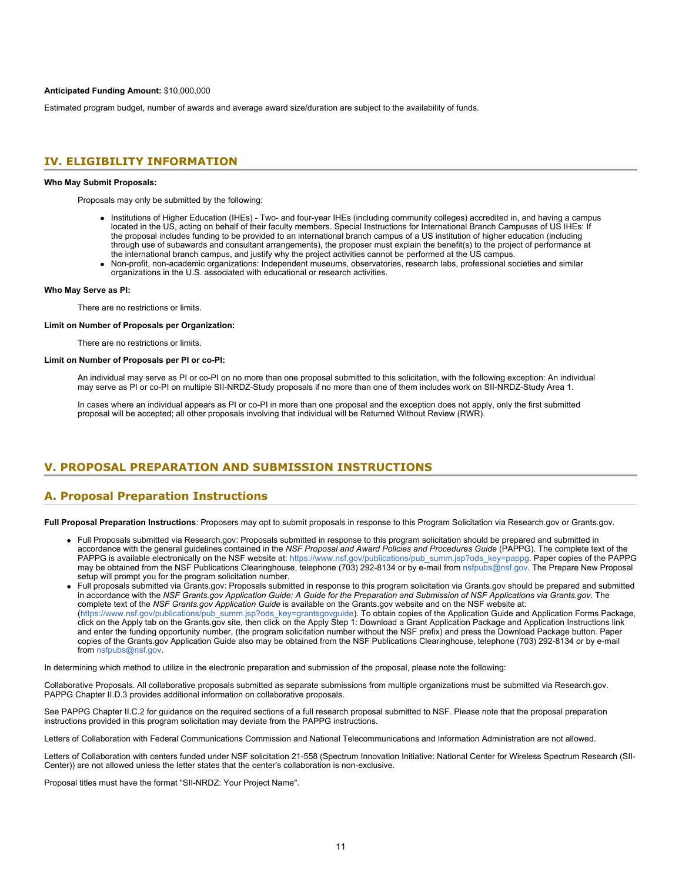#### **Anticipated Funding Amount:** \$10,000,000

Estimated program budget, number of awards and average award size/duration are subject to the availability of funds.

### <span id="page-10-0"></span>**IV. ELIGIBILITY INFORMATION**

#### **Who May Submit Proposals:**

Proposals may only be submitted by the following:

- Institutions of Higher Education (IHEs) Two- and four-year IHEs (including community colleges) accredited in, and having a campus located in the US, acting on behalf of their faculty members. Special Instructions for International Branch Campuses of US IHEs: If the proposal includes funding to be provided to an international branch campus of a US institution of higher education (including through use of subawards and consultant arrangements), the proposer must explain the benefit(s) to the project of performance at the international branch campus, and justify why the project activities cannot be performed at the US campus.
- Non-profit, non-academic organizations: Independent museums, observatories, research labs, professional societies and similar organizations in the U.S. associated with educational or research activities.

#### **Who May Serve as PI:**

There are no restrictions or limits.

#### **Limit on Number of Proposals per Organization:**

There are no restrictions or limits.

#### **Limit on Number of Proposals per PI or co-PI:**

An individual may serve as PI or co-PI on no more than one proposal submitted to this solicitation, with the following exception: An individual may serve as PI or co-PI on multiple SII-NRDZ-Study proposals if no more than one of them includes work on SII-NRDZ-Study Area 1.

In cases where an individual appears as PI or co-PI in more than one proposal and the exception does not apply, only the first submitted proposal will be accepted; all other proposals involving that individual will be Returned Without Review (RWR).

### <span id="page-10-1"></span>**V. PROPOSAL PREPARATION AND SUBMISSION INSTRUCTIONS**

### **A. Proposal Preparation Instructions**

**Full Proposal Preparation Instructions**: Proposers may opt to submit proposals in response to this Program Solicitation via Research.gov or Grants.gov.

- Full Proposals submitted via Research.gov: Proposals submitted in response to this program solicitation should be prepared and submitted in accordance with the general guidelines contained in the *NSF Proposal and Award Policies and Procedures Guide* (PAPPG). The complete text of the PAPPG is available electronically on the NSF website at: [https://www.nsf.gov/publications/pub\\_summ.jsp?ods\\_key=pappg](https://www.nsf.gov/publications/pub_summ.jsp?ods_key=pappg). Paper copies of the PAPPG may be obtained from the NSF Publications Clearinghouse, telephone (703) 292-8134 or by e-mail from [nsfpubs@nsf.gov.](mailto:nsfpubs@nsf.gov) The Prepare New Proposal setup will prompt you for the program solicitation number.
- Full proposals submitted via Grants.gov: Proposals submitted in response to this program solicitation via Grants.gov should be prepared and submitted in accordance with the *NSF Grants.gov Application Guide: A Guide for the Preparation and Submission of NSF Applications via Grants.gov*. The complete text of the *NSF Grants.gov Application Guide* is available on the Grants.gov website and on the NSF website at: [\(https://www.nsf.gov/publications/pub\\_summ.jsp?ods\\_key=grantsgovguide](https://www.nsf.gov/publications/pub_summ.jsp?ods_key=grantsgovguide)). To obtain copies of the Application Guide and Application Forms Package, click on the Apply tab on the Grants.gov site, then click on the Apply Step 1: Download a Grant Application Package and Application Instructions link and enter the funding opportunity number, (the program solicitation number without the NSF prefix) and press the Download Package button. Paper copies of the Grants.gov Application Guide also may be obtained from the NSF Publications Clearinghouse, telephone (703) 292-8134 or by e-mail from [nsfpubs@nsf.gov](mailto:nsfpubs@nsf.gov).

In determining which method to utilize in the electronic preparation and submission of the proposal, please note the following:

Collaborative Proposals. All collaborative proposals submitted as separate submissions from multiple organizations must be submitted via Research.gov. PAPPG Chapter II.D.3 provides additional information on collaborative proposals.

See PAPPG Chapter II.C.2 for guidance on the required sections of a full research proposal submitted to NSF. Please note that the proposal preparation instructions provided in this program solicitation may deviate from the PAPPG instructions.

Letters of Collaboration with Federal Communications Commission and National Telecommunications and Information Administration are not allowed.

Letters of Collaboration with centers funded under NSF solicitation 21-558 (Spectrum Innovation Initiative: National Center for Wireless Spectrum Research (SII-Center)) are not allowed unless the letter states that the center's collaboration is non-exclusive.

Proposal titles must have the format "SII-NRDZ: Your Project Name".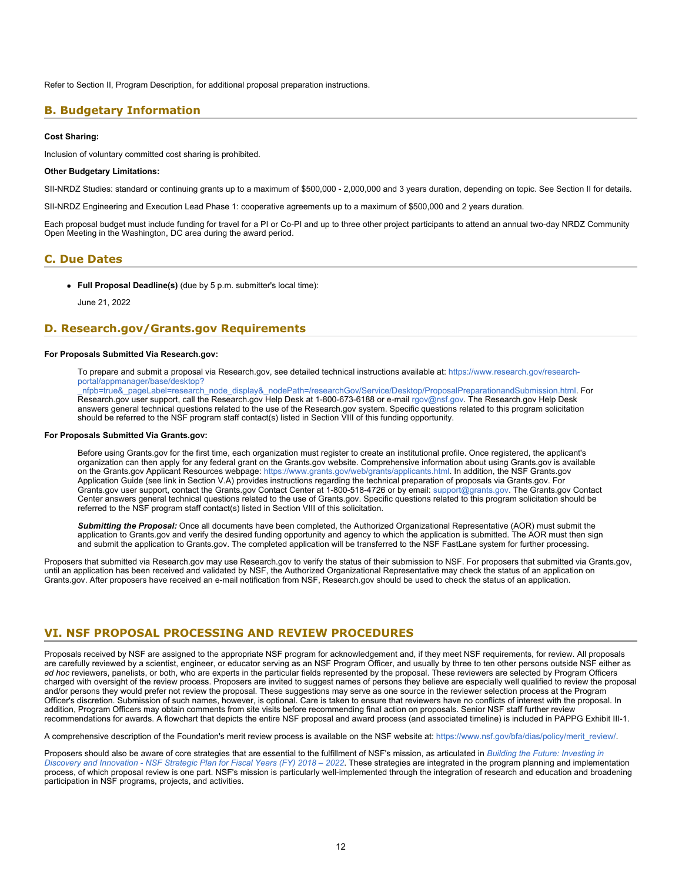Refer to Section II, Program Description, for additional proposal preparation instructions.

### <span id="page-11-0"></span>**B. Budgetary Information**

#### **Cost Sharing:**

Inclusion of voluntary committed cost sharing is prohibited.

#### **Other Budgetary Limitations:**

SII-NRDZ Studies: standard or continuing grants up to a maximum of \$500,000 - 2,000,000 and 3 years duration, depending on topic. See Section II for details.

SII-NRDZ Engineering and Execution Lead Phase 1: cooperative agreements up to a maximum of \$500,000 and 2 years duration.

Each proposal budget must include funding for travel for a PI or Co-PI and up to three other project participants to attend an annual two-day NRDZ Community Open Meeting in the Washington, DC area during the award period.

### <span id="page-11-1"></span>**C. Due Dates**

**Full Proposal Deadline(s)** (due by 5 p.m. submitter's local time):

June 21, 2022

### <span id="page-11-2"></span>**D. Research.gov/Grants.gov Requirements**

#### **For Proposals Submitted Via Research.gov:**

To prepare and submit a proposal via Research.gov, see detailed technical instructions available at: [https://www.research.gov/research](https://www.research.gov/research-portal/appmanager/base/desktop?_nfpb=true&_pageLabel=research_node_display&_nodePath=/researchGov/Service/Desktop/ProposalPreparationandSubmission.html)[portal/appmanager/base/desktop?](https://www.research.gov/research-portal/appmanager/base/desktop?_nfpb=true&_pageLabel=research_node_display&_nodePath=/researchGov/Service/Desktop/ProposalPreparationandSubmission.html)

[\\_nfpb=true&\\_pageLabel=research\\_node\\_display&\\_nodePath=/researchGov/Service/Desktop/ProposalPreparationandSubmission.html](https://www.research.gov/research-portal/appmanager/base/desktop?_nfpb=true&_pageLabel=research_node_display&_nodePath=/researchGov/Service/Desktop/ProposalPreparationandSubmission.html). For Research.gov user support, call the Research.gov Help Desk at 1-800-673-6188 or e-mail [rgov@nsf.gov](mailto:rgov@nsf.gov). The Research.gov Help Desk answers general technical questions related to the use of the Research.gov system. Specific questions related to this program solicitation should be referred to the NSF program staff contact(s) listed in Section VIII of this funding opportunity.

#### **For Proposals Submitted Via Grants.gov:**

Before using Grants.gov for the first time, each organization must register to create an institutional profile. Once registered, the applicant's organization can then apply for any federal grant on the Grants.gov website. Comprehensive information about using Grants.gov is available on the Grants.gov Applicant Resources webpage:<https://www.grants.gov/web/grants/applicants.html>. In addition, the NSF Grants.gov Application Guide (see link in Section V.A) provides instructions regarding the technical preparation of proposals via Grants.gov. For Grants.gov user support, contact the Grants.gov Contact Center at 1-800-518-4726 or by email: [support@grants.gov.](mailto:support@grants.gov) The Grants.gov Contact Center answers general technical questions related to the use of Grants.gov. Specific questions related to this program solicitation should be referred to the NSF program staff contact(s) listed in Section VIII of this solicitation.

*Submitting the Proposal:* Once all documents have been completed, the Authorized Organizational Representative (AOR) must submit the application to Grants.gov and verify the desired funding opportunity and agency to which the application is submitted. The AOR must then sign and submit the application to Grants.gov. The completed application will be transferred to the NSF FastLane system for further processing.

Proposers that submitted via Research.gov may use Research.gov to verify the status of their submission to NSF. For proposers that submitted via Grants.gov, until an application has been received and validated by NSF, the Authorized Organizational Representative may check the status of an application on Grants.gov. After proposers have received an e-mail notification from NSF, Research.gov should be used to check the status of an application.

### <span id="page-11-3"></span>**VI. NSF PROPOSAL PROCESSING AND REVIEW PROCEDURES**

Proposals received by NSF are assigned to the appropriate NSF program for acknowledgement and, if they meet NSF requirements, for review. All proposals are carefully reviewed by a scientist, engineer, or educator serving as an NSF Program Officer, and usually by three to ten other persons outside NSF either as *ad hoc* reviewers, panelists, or both, who are experts in the particular fields represented by the proposal. These reviewers are selected by Program Officers charged with oversight of the review process. Proposers are invited to suggest names of persons they believe are especially well qualified to review the proposal and/or persons they would prefer not review the proposal. These suggestions may serve as one source in the reviewer selection process at the Program Officer's discretion. Submission of such names, however, is optional. Care is taken to ensure that reviewers have no conflicts of interest with the proposal. In addition, Program Officers may obtain comments from site visits before recommending final action on proposals. Senior NSF staff further review recommendations for awards. A flowchart that depicts the entire NSF proposal and award process (and associated timeline) is included in PAPPG Exhibit III-1.

A comprehensive description of the Foundation's merit review process is available on the NSF website at: [https://www.nsf.gov/bfa/dias/policy/merit\\_review/](https://www.nsf.gov/bfa/dias/policy/merit_review/).

Proposers should also be aware of core strategies that are essential to the fulfillment of NSF's mission, as articulated in *[Building the Future: Investing in](https://www.nsf.gov/publications/pub_summ.jsp?ods_key=nsf18045) [Discovery and Innovation - NSF Strategic Plan for Fiscal Years \(FY\) 2018 – 2022](https://www.nsf.gov/publications/pub_summ.jsp?ods_key=nsf18045)*. These strategies are integrated in the program planning and implementation process, of which proposal review is one part. NSF's mission is particularly well-implemented through the integration of research and education and broadening participation in NSF programs, projects, and activities.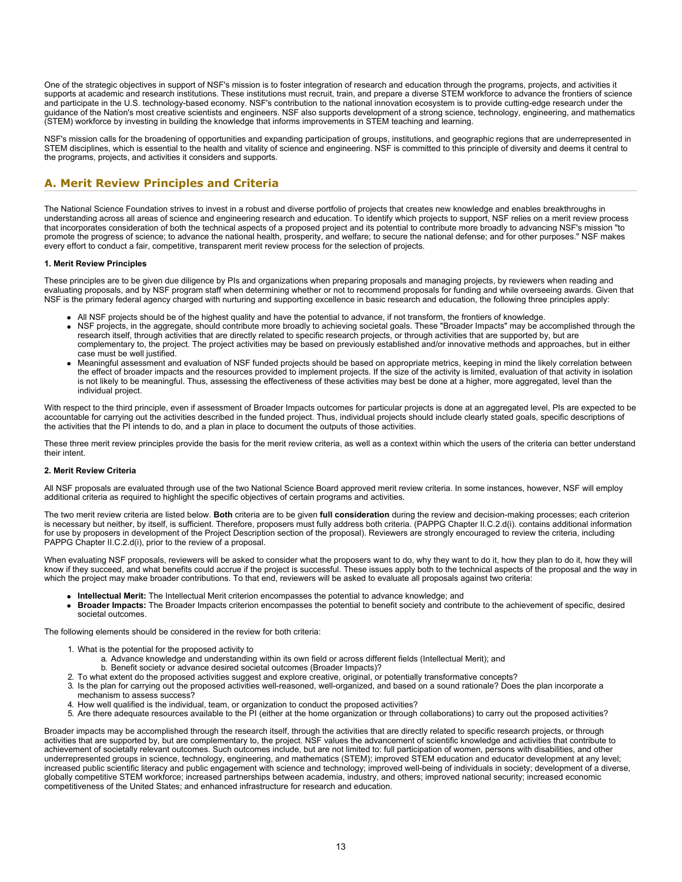One of the strategic objectives in support of NSF's mission is to foster integration of research and education through the programs, projects, and activities it supports at academic and research institutions. These institutions must recruit, train, and prepare a diverse STEM workforce to advance the frontiers of science and participate in the U.S. technology-based economy. NSF's contribution to the national innovation ecosystem is to provide cutting-edge research under the guidance of the Nation's most creative scientists and engineers. NSF also supports development of a strong science, technology, engineering, and mathematics (STEM) workforce by investing in building the knowledge that informs improvements in STEM teaching and learning.

NSF's mission calls for the broadening of opportunities and expanding participation of groups, institutions, and geographic regions that are underrepresented in STEM disciplines, which is essential to the health and vitality of science and engineering. NSF is committed to this principle of diversity and deems it central to the programs, projects, and activities it considers and supports.

# <span id="page-12-0"></span>**A. Merit Review Principles and Criteria**

The National Science Foundation strives to invest in a robust and diverse portfolio of projects that creates new knowledge and enables breakthroughs in understanding across all areas of science and engineering research and education. To identify which projects to support, NSF relies on a merit review process that incorporates consideration of both the technical aspects of a proposed project and its potential to contribute more broadly to advancing NSF's mission "to promote the progress of science; to advance the national health, prosperity, and welfare; to secure the national defense; and for other purposes." NSF makes every effort to conduct a fair, competitive, transparent merit review process for the selection of projects.

#### **1. Merit Review Principles**

These principles are to be given due diligence by PIs and organizations when preparing proposals and managing projects, by reviewers when reading and evaluating proposals, and by NSF program staff when determining whether or not to recommend proposals for funding and while overseeing awards. Given that NSF is the primary federal agency charged with nurturing and supporting excellence in basic research and education, the following three principles apply:

- All NSF projects should be of the highest quality and have the potential to advance, if not transform, the frontiers of knowledge.
- NSF projects, in the aggregate, should contribute more broadly to achieving societal goals. These "Broader Impacts" may be accomplished through the research itself, through activities that are directly related to specific research projects, or through activities that are supported by, but are complementary to, the project. The project activities may be based on previously established and/or innovative methods and approaches, but in either case must be well justified.
- Meaningful assessment and evaluation of NSF funded projects should be based on appropriate metrics, keeping in mind the likely correlation between the effect of broader impacts and the resources provided to implement projects. If the size of the activity is limited, evaluation of that activity in isolation is not likely to be meaningful. Thus, assessing the effectiveness of these activities may best be done at a higher, more aggregated, level than the individual project.

With respect to the third principle, even if assessment of Broader Impacts outcomes for particular projects is done at an aggregated level, PIs are expected to be accountable for carrying out the activities described in the funded project. Thus, individual projects should include clearly stated goals, specific descriptions of the activities that the PI intends to do, and a plan in place to document the outputs of those activities.

These three merit review principles provide the basis for the merit review criteria, as well as a context within which the users of the criteria can better understand their intent.

#### **2. Merit Review Criteria**

All NSF proposals are evaluated through use of the two National Science Board approved merit review criteria. In some instances, however, NSF will employ additional criteria as required to highlight the specific objectives of certain programs and activities.

The two merit review criteria are listed below. **Both** criteria are to be given **full consideration** during the review and decision-making processes; each criterion is necessary but neither, by itself, is sufficient. Therefore, proposers must fully address both criteria. (PAPPG Chapter II.C.2.d(i). contains additional information for use by proposers in development of the Project Description section of the proposal). Reviewers are strongly encouraged to review the criteria, including PAPPG Chapter II.C.2.d(i), prior to the review of a proposal.

When evaluating NSF proposals, reviewers will be asked to consider what the proposers want to do, why they want to do it, how they plan to do it, how they will know if they succeed, and what benefits could accrue if the project is successful. These issues apply both to the technical aspects of the proposal and the way in which the project may make broader contributions. To that end, reviewers will be asked to evaluate all proposals against two criteria:

- **Intellectual Merit:** The Intellectual Merit criterion encompasses the potential to advance knowledge; and
- **Broader Impacts:** The Broader Impacts criterion encompasses the potential to benefit society and contribute to the achievement of specific, desired societal outcomes.

The following elements should be considered in the review for both criteria:

- 1. What is the potential for the proposed activity to
	- a. Advance knowledge and understanding within its own field or across different fields (Intellectual Merit); and
	- b. Benefit society or advance desired societal outcomes (Broader Impacts)?
- 2. To what extent do the proposed activities suggest and explore creative, original, or potentially transformative concepts?
- 3. Is the plan for carrying out the proposed activities well-reasoned, well-organized, and based on a sound rationale? Does the plan incorporate a mechanism to assess success?
- 4. How well qualified is the individual, team, or organization to conduct the proposed activities?
- 5. Are there adequate resources available to the PI (either at the home organization or through collaborations) to carry out the proposed activities?

Broader impacts may be accomplished through the research itself, through the activities that are directly related to specific research projects, or through activities that are supported by, but are complementary to, the project. NSF values the advancement of scientific knowledge and activities that contribute to achievement of societally relevant outcomes. Such outcomes include, but are not limited to: full participation of women, persons with disabilities, and other underrepresented groups in science, technology, engineering, and mathematics (STEM); improved STEM education and educator development at any level; increased public scientific literacy and public engagement with science and technology; improved well-being of individuals in society; development of a diverse, globally competitive STEM workforce; increased partnerships between academia, industry, and others; improved national security; increased economic competitiveness of the United States; and enhanced infrastructure for research and education.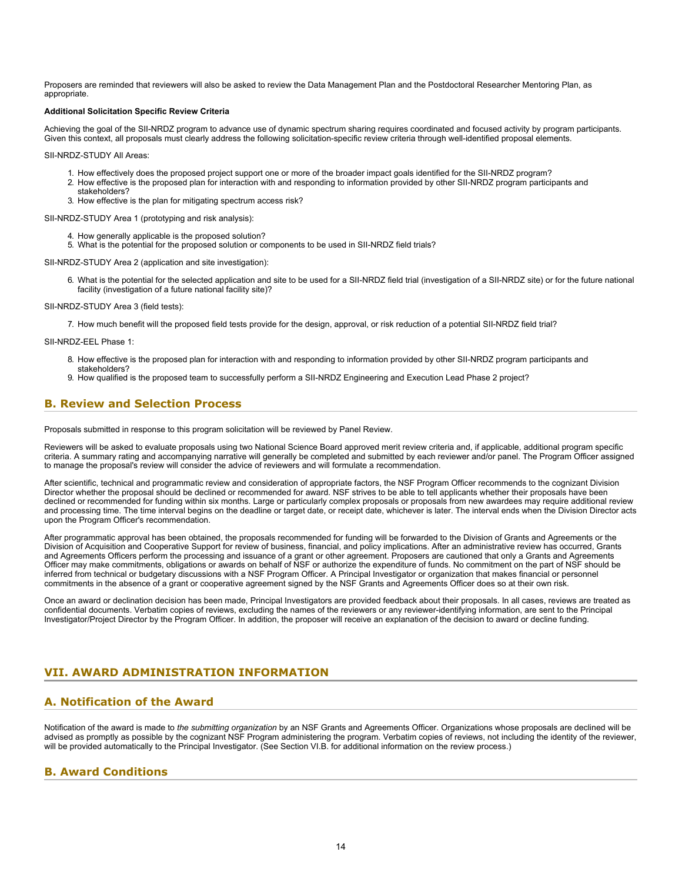Proposers are reminded that reviewers will also be asked to review the Data Management Plan and the Postdoctoral Researcher Mentoring Plan, as appropriate.

#### **Additional Solicitation Specific Review Criteria**

Achieving the goal of the SII-NRDZ program to advance use of dynamic spectrum sharing requires coordinated and focused activity by program participants. Given this context, all proposals must clearly address the following solicitation-specific review criteria through well-identified proposal elements.

SII-NRDZ-STUDY All Areas:

- 1. How effectively does the proposed project support one or more of the broader impact goals identified for the SII-NRDZ program?
- 2. How effective is the proposed plan for interaction with and responding to information provided by other SII-NRDZ program participants and
- stakeholders?
- 3. How effective is the plan for mitigating spectrum access risk?

SII-NRDZ-STUDY Area 1 (prototyping and risk analysis):

- 4. How generally applicable is the proposed solution?
- 5. What is the potential for the proposed solution or components to be used in SII-NRDZ field trials?

SII-NRDZ-STUDY Area 2 (application and site investigation):

6. What is the potential for the selected application and site to be used for a SII-NRDZ field trial (investigation of a SII-NRDZ site) or for the future national facility (investigation of a future national facility site)?

SII-NRDZ-STUDY Area 3 (field tests):

7. How much benefit will the proposed field tests provide for the design, approval, or risk reduction of a potential SII-NRDZ field trial?

SII-NRDZ-EEL Phase 1:

- 8. How effective is the proposed plan for interaction with and responding to information provided by other SII-NRDZ program participants and stakeholders?
- 9. How qualified is the proposed team to successfully perform a SII-NRDZ Engineering and Execution Lead Phase 2 project?

### <span id="page-13-0"></span>**B. Review and Selection Process**

Proposals submitted in response to this program solicitation will be reviewed by Panel Review.

Reviewers will be asked to evaluate proposals using two National Science Board approved merit review criteria and, if applicable, additional program specific criteria. A summary rating and accompanying narrative will generally be completed and submitted by each reviewer and/or panel. The Program Officer assigned to manage the proposal's review will consider the advice of reviewers and will formulate a recommendation.

After scientific, technical and programmatic review and consideration of appropriate factors, the NSF Program Officer recommends to the cognizant Division Director whether the proposal should be declined or recommended for award. NSF strives to be able to tell applicants whether their proposals have been declined or recommended for funding within six months. Large or particularly complex proposals or proposals from new awardees may require additional review and processing time. The time interval begins on the deadline or target date, or receipt date, whichever is later. The interval ends when the Division Director acts upon the Program Officer's recommendation.

After programmatic approval has been obtained, the proposals recommended for funding will be forwarded to the Division of Grants and Agreements or the Division of Acquisition and Cooperative Support for review of business, financial, and policy implications. After an administrative review has occurred, Grants and Agreements Officers perform the processing and issuance of a grant or other agreement. Proposers are cautioned that only a Grants and Agreements Officer may make commitments, obligations or awards on behalf of NSF or authorize the expenditure of funds. No commitment on the part of NSF should be inferred from technical or budgetary discussions with a NSF Program Officer. A Principal Investigator or organization that makes financial or personnel commitments in the absence of a grant or cooperative agreement signed by the NSF Grants and Agreements Officer does so at their own risk.

Once an award or declination decision has been made, Principal Investigators are provided feedback about their proposals. In all cases, reviews are treated as confidential documents. Verbatim copies of reviews, excluding the names of the reviewers or any reviewer-identifying information, are sent to the Principal Investigator/Project Director by the Program Officer. In addition, the proposer will receive an explanation of the decision to award or decline funding.

# <span id="page-13-1"></span>**VII. AWARD ADMINISTRATION INFORMATION**

### <span id="page-13-2"></span>**A. Notification of the Award**

Notification of the award is made to *the submitting organization* by an NSF Grants and Agreements Officer. Organizations whose proposals are declined will be advised as promptly as possible by the cognizant NSF Program administering the program. Verbatim copies of reviews, not including the identity of the reviewer, will be provided automatically to the Principal Investigator. (See Section VI.B. for additional information on the review process.)

### <span id="page-13-3"></span>**B. Award Conditions**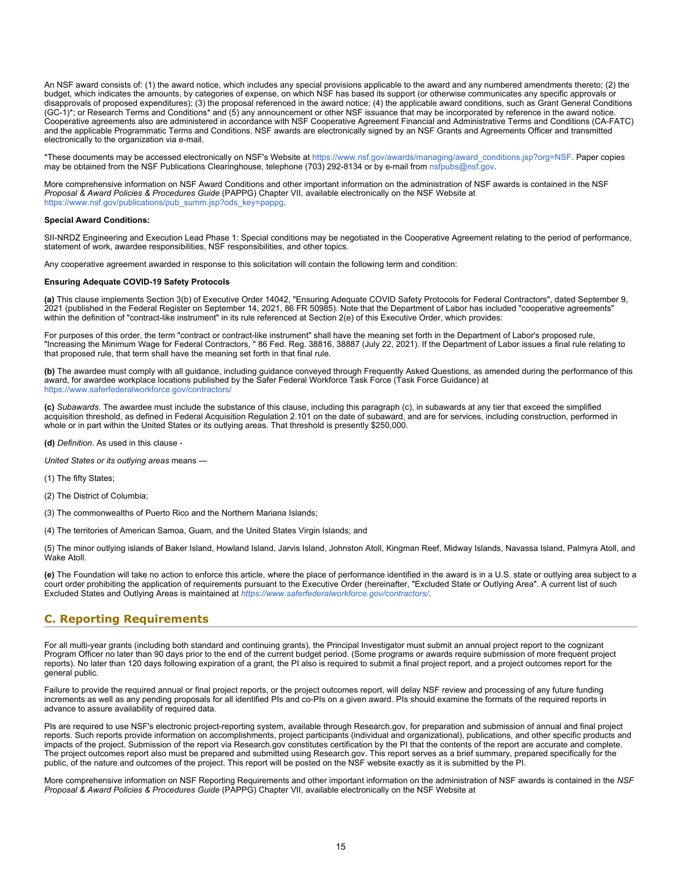An NSF award consists of: (1) the award notice, which includes any special provisions applicable to the award and any numbered amendments thereto; (2) the budget, which indicates the amounts, by categories of expense, on which NSF has based its support (or otherwise communicates any specific approvals or disapprovals of proposed expenditures); (3) the proposal referenced in the award notice; (4) the applicable award conditions, such as Grant General Conditions (GC-1)\*; or Research Terms and Conditions\* and (5) any announcement or other NSF issuance that may be incorporated by reference in the award notice. Cooperative agreements also are administered in accordance with NSF Cooperative Agreement Financial and Administrative Terms and Conditions (CA-FATC) and the applicable Programmatic Terms and Conditions. NSF awards are electronically signed by an NSF Grants and Agreements Officer and transmitted electronically to the organization via e-mail.

\*These documents may be accessed electronically on NSF's Website at [https://www.nsf.gov/awards/managing/award\\_conditions.jsp?org=NSF](https://www.nsf.gov/awards/managing/award_conditions.jsp?org=NSF). Paper copies may be obtained from the NSF Publications Clearinghouse, telephone (703) 292-8134 or by e-mail from [nsfpubs@nsf.gov.](mailto:nsfpubs@nsf.gov)

More comprehensive information on NSF Award Conditions and other important information on the administration of NSF awards is contained in the NSF *Proposal & Award Policies & Procedures Guide* (PAPPG) Chapter VII, available electronically on the NSF Website at [https://www.nsf.gov/publications/pub\\_summ.jsp?ods\\_key=pappg.](https://www.nsf.gov/publications/pub_summ.jsp?ods_key=pappg)

#### **Special Award Conditions:**

SII-NRDZ Engineering and Execution Lead Phase 1: Special conditions may be negotiated in the Cooperative Agreement relating to the period of performance, statement of work, awardee responsibilities, NSF responsibilities, and other topics.

Any cooperative agreement awarded in response to this solicitation will contain the following term and condition:

#### **Ensuring Adequate COVID-19 Safety Protocols**

**(a)** This clause implements Section 3(b) of Executive Order 14042, "Ensuring Adequate COVID Safety Protocols for Federal Contractors", dated September 9, 2021 (published in the Federal Register on September 14, 2021, 86 FR 50985). Note that the Department of Labor has included "cooperative agreements" within the definition of "contract-like instrument" in its rule referenced at Section 2(e) of this Executive Order, which provides:

For purposes of this order, the term "contract or contract-like instrument" shall have the meaning set forth in the Department of Labor's proposed rule, "Increasing the Minimum Wage for Federal Contractors, " 86 Fed. Reg. 38816, 38887 (July 22, 2021). If the Department of Labor issues a final rule relating to that proposed rule, that term shall have the meaning set forth in that final rule.

**(b)** The awardee must comply with all guidance, including guidance conveyed through Frequently Asked Questions, as amended during the performance of this award, for awardee workplace locations published by the Safer Federal Workforce Task Force (Task Force Guidance) at <https://www.saferfederalworkforce.gov/contractors/>

**(c)** *Subawards*. The awardee must include the substance of this clause, including this paragraph (c), in subawards at any tier that exceed the simplified acquisition threshold, as defined in Federal Acquisition Regulation 2.101 on the date of subaward, and are for services, including construction, performed in whole or in part within the United States or its outlying areas. That threshold is presently \$250,000.

**(d)** *Definition*. As used in this clause -

*United States or its outlying areas* means —

(1) The fifty States;

(2) The District of Columbia;

(3) The commonwealths of Puerto Rico and the Northern Mariana Islands;

(4) The territories of American Samoa, Guam, and the United States Virgin Islands; and

(5) The minor outlying islands of Baker Island, Howland Island, Jarvis Island, Johnston Atoll, Kingman Reef, Midway Islands, Navassa Island, Palmyra Atoll, and Wake Atoll.

**(e)** The Foundation will take no action to enforce this article, where the place of performance identified in the award is in a U.S. state or outlying area subject to a court order prohibiting the application of requirements pursuant to the Executive Order (hereinafter, "Excluded State or Outlying Area". A current list of such Excluded States and Outlying Areas is maintained at *<https://www.saferfederalworkforce.gov/contractors/>*.

### <span id="page-14-0"></span>**C. Reporting Requirements**

For all multi-year grants (including both standard and continuing grants), the Principal Investigator must submit an annual project report to the cognizant Program Officer no later than 90 days prior to the end of the current budget period. (Some programs or awards require submission of more frequent project reports). No later than 120 days following expiration of a grant, the PI also is required to submit a final project report, and a project outcomes report for the general public.

Failure to provide the required annual or final project reports, or the project outcomes report, will delay NSF review and processing of any future funding increments as well as any pending proposals for all identified PIs and co-PIs on a given award. PIs should examine the formats of the required reports in advance to assure availability of required data.

PIs are required to use NSF's electronic project-reporting system, available through Research.gov, for preparation and submission of annual and final project reports. Such reports provide information on accomplishments, project participants (individual and organizational), publications, and other specific products and impacts of the project. Submission of the report via Research.gov constitutes certification by the PI that the contents of the report are accurate and complete. The project outcomes report also must be prepared and submitted using Research.gov. This report serves as a brief summary, prepared specifically for the public, of the nature and outcomes of the project. This report will be posted on the NSF website exactly as it is submitted by the PI.

More comprehensive information on NSF Reporting Requirements and other important information on the administration of NSF awards is contained in the *NSF Proposal & Award Policies & Procedures Guide* (PAPPG) Chapter VII, available electronically on the NSF Website at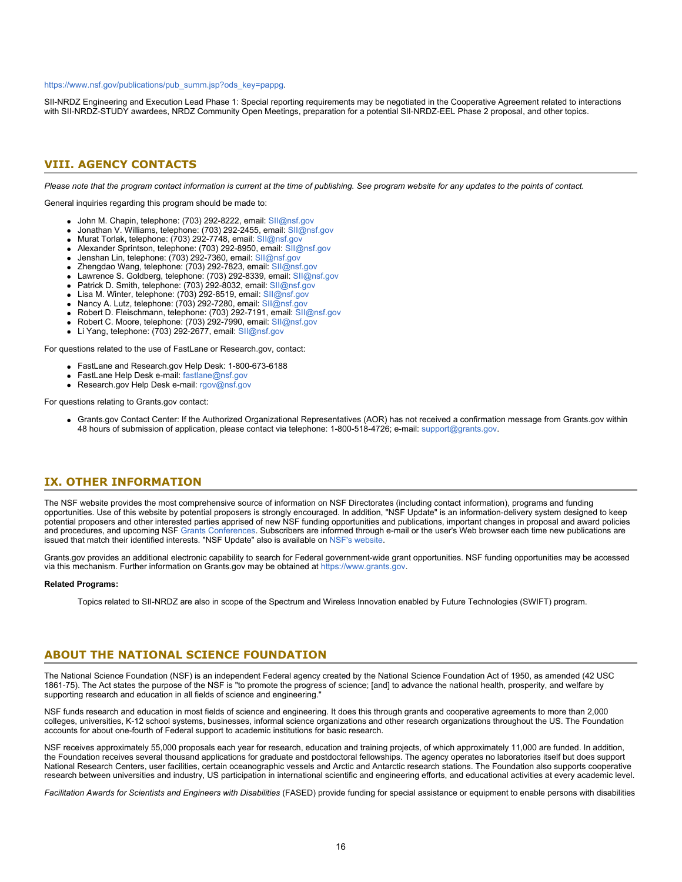#### [https://www.nsf.gov/publications/pub\\_summ.jsp?ods\\_key=pappg.](https://www.nsf.gov/publications/pub_summ.jsp?ods_key=pappg)

SII-NRDZ Engineering and Execution Lead Phase 1: Special reporting requirements may be negotiated in the Cooperative Agreement related to interactions with SII-NRDZ-STUDY awardees, NRDZ Community Open Meetings, preparation for a potential SII-NRDZ-EEL Phase 2 proposal, and other topics.

### <span id="page-15-0"></span>**VIII. AGENCY CONTACTS**

*Please note that the program contact information is current at the time of publishing. See program website for any updates to the points of contact.*

General inquiries regarding this program should be made to:

- John M. Chapin, telephone: (703) 292-8222, email: [SII@nsf.gov](mailto:SII@nsf.gov)
- Jonathan V. Williams, telephone: (703) 292-2455, email: [SII@nsf.gov](mailto:SII@nsf.gov)
- Murat Torlak, telephone: (703) 292-7748, email: [SII@nsf.gov](mailto:SII@nsf.gov)
- Alexander Sprintson, telephone: (703) 292-8950, email: [SII@nsf.gov](mailto:SII@nsf.gov)
- Jenshan Lin, telephone: (703) 292-7360, email: [SII@nsf.gov](mailto:SII@nsf.gov)
- Zhengdao Wang, telephone: (703) 292-7823, email: [SII@nsf.gov](mailto:SII@nsf.gov)
- Lawrence S. Goldberg, telephone: (703) 292-8339, email: [SII@nsf.gov](mailto:SII@nsf.gov)
- Patrick D. Smith, telephone: (703) 292-8032, email: [SII@nsf.gov](mailto:SII@nsf.gov)
- Lisa M. Winter, telephone: (703) 292-8519, email: [SII@nsf.gov](mailto:SII@nsf.gov)
- Nancy A. Lutz, telephone: (703) 292-7280, email: [SII@nsf.gov](mailto:SII@nsf.gov)
- Robert D. Fleischmann, telephone: (703) 292-7191, email: [SII@nsf.gov](mailto:SII@nsf.gov)
- Robert C. Moore, telephone: (703) 292-7990, email: [SII@nsf.gov](mailto:SII@nsf.gov)
- Li Yang, telephone: (703) 292-2677, email: [SII@nsf.gov](mailto:SII@nsf.gov)

For questions related to the use of FastLane or Research.gov, contact:

- 
- FastLane and Research.gov Help Desk: 1-800-673-6188 FastLane Help Desk e-mail: [fastlane@nsf.gov](mailto:fastlane@nsf.gov)
- Research.gov Help Desk e-mail: [rgov@nsf.gov](mailto:rgov@nsf.gov)

For questions relating to Grants.gov contact:

Grants.gov Contact Center: If the Authorized Organizational Representatives (AOR) has not received a confirmation message from Grants.gov within 48 hours of submission of application, please contact via telephone: 1-800-518-4726; e-mail: [support@grants.gov](mailto:support@grants.gov).

### <span id="page-15-1"></span>**IX. OTHER INFORMATION**

The NSF website provides the most comprehensive source of information on NSF Directorates (including contact information), programs and funding opportunities. Use of this website by potential proposers is strongly encouraged. In addition, "NSF Update" is an information-delivery system designed to keep potential proposers and other interested parties apprised of new NSF funding opportunities and publications, important changes in proposal and award policies and procedures, and upcoming NSF [Grants Conferences](https://www.nsf.gov/bfa/dias/policy/outreach.jsp). Subscribers are informed through e-mail or the user's Web browser each time new publications are issued that match their identified interests. "NSF Update" also is available on [NSF's website](https://www.nsf.gov/cgi-bin/goodbye?https://public.govdelivery.com/accounts/USNSF/subscriber/new?topic_id=USNSF_179).

Grants.gov provides an additional electronic capability to search for Federal government-wide grant opportunities. NSF funding opportunities may be accessed via this mechanism. Further information on Grants.gov may be obtained at [https://www.grants.gov](https://www.grants.gov/).

#### **Related Programs:**

Topics related to SII-NRDZ are also in scope of the Spectrum and Wireless Innovation enabled by Future Technologies (SWIFT) program.

### **ABOUT THE NATIONAL SCIENCE FOUNDATION**

The National Science Foundation (NSF) is an independent Federal agency created by the National Science Foundation Act of 1950, as amended (42 USC 1861-75). The Act states the purpose of the NSF is "to promote the progress of science; [and] to advance the national health, prosperity, and welfare by supporting research and education in all fields of science and engineering."

NSF funds research and education in most fields of science and engineering. It does this through grants and cooperative agreements to more than 2,000 colleges, universities, K-12 school systems, businesses, informal science organizations and other research organizations throughout the US. The Foundation accounts for about one-fourth of Federal support to academic institutions for basic research.

NSF receives approximately 55,000 proposals each year for research, education and training projects, of which approximately 11,000 are funded. In addition, the Foundation receives several thousand applications for graduate and postdoctoral fellowships. The agency operates no laboratories itself but does support National Research Centers, user facilities, certain oceanographic vessels and Arctic and Antarctic research stations. The Foundation also supports cooperative research between universities and industry, US participation in international scientific and engineering efforts, and educational activities at every academic level.

*Facilitation Awards for Scientists and Engineers with Disabilities* (FASED) provide funding for special assistance or equipment to enable persons with disabilities